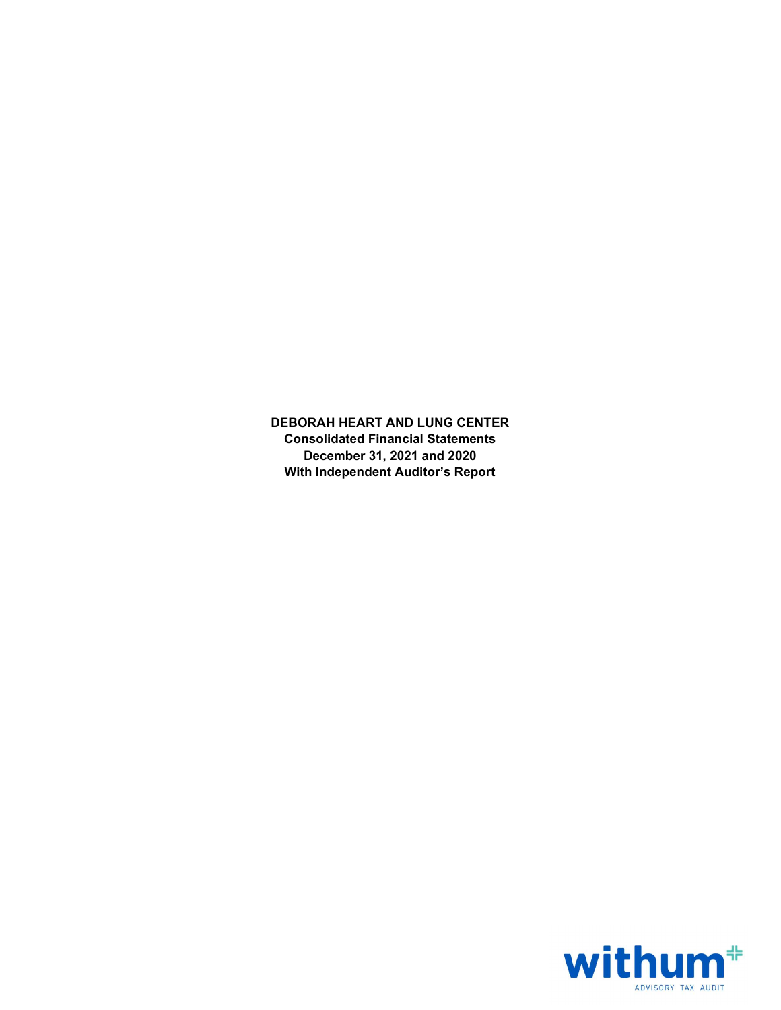DEBORAH HEART AND LUNG CENTER Consolidated Financial Statements December 31, 2021 and 2020 With Independent Auditor's Report

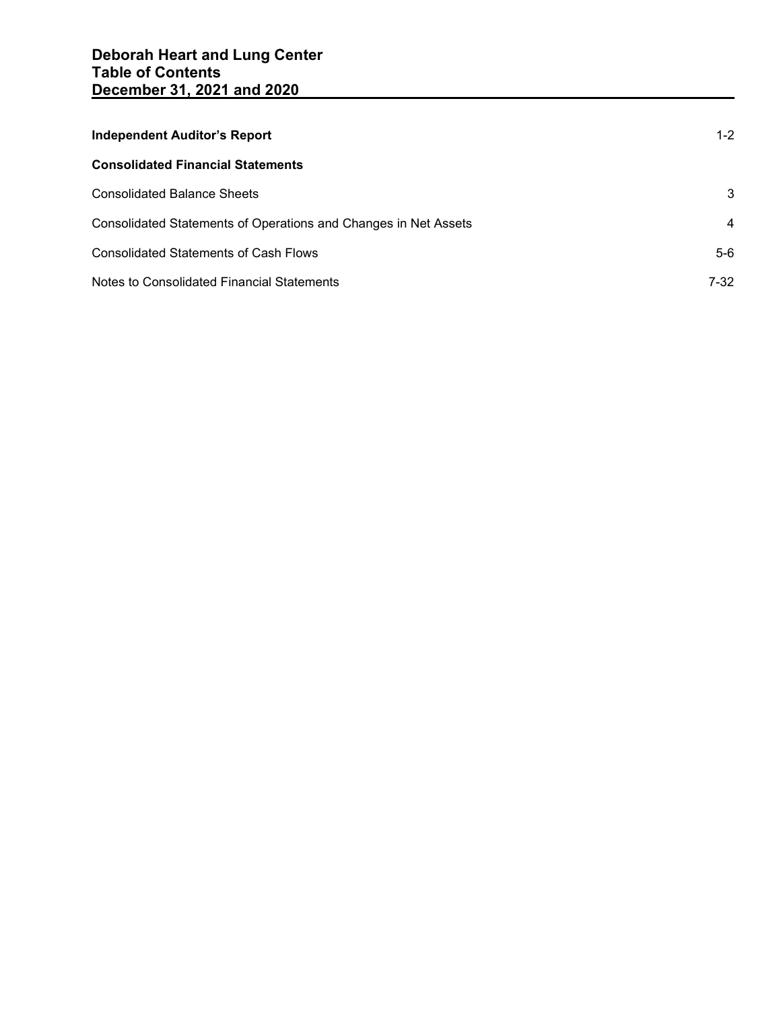| <b>Independent Auditor's Report</b>                             | $1 - 2$ |
|-----------------------------------------------------------------|---------|
| <b>Consolidated Financial Statements</b>                        |         |
| <b>Consolidated Balance Sheets</b>                              | 3       |
| Consolidated Statements of Operations and Changes in Net Assets | 4       |
| <b>Consolidated Statements of Cash Flows</b>                    | 5-6     |
| Notes to Consolidated Financial Statements                      | 7-32    |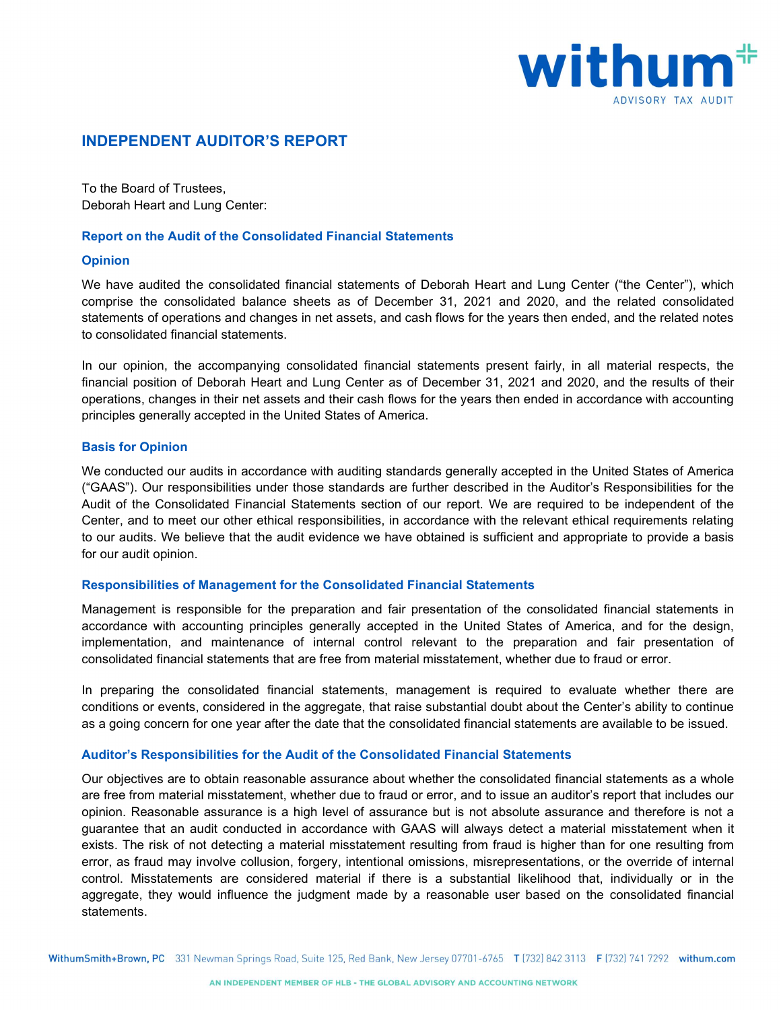

# INDEPENDENT AUDITOR'S REPORT

To the Board of Trustees, Deborah Heart and Lung Center:

## Report on the Audit of the Consolidated Financial Statements

#### Opinion

We have audited the consolidated financial statements of Deborah Heart and Lung Center ("the Center"), which comprise the consolidated balance sheets as of December 31, 2021 and 2020, and the related consolidated statements of operations and changes in net assets, and cash flows for the years then ended, and the related notes to consolidated financial statements.

In our opinion, the accompanying consolidated financial statements present fairly, in all material respects, the financial position of Deborah Heart and Lung Center as of December 31, 2021 and 2020, and the results of their operations, changes in their net assets and their cash flows for the years then ended in accordance with accounting principles generally accepted in the United States of America.

#### Basis for Opinion

We conducted our audits in accordance with auditing standards generally accepted in the United States of America ("GAAS"). Our responsibilities under those standards are further described in the Auditor's Responsibilities for the Audit of the Consolidated Financial Statements section of our report. We are required to be independent of the Center, and to meet our other ethical responsibilities, in accordance with the relevant ethical requirements relating to our audits. We believe that the audit evidence we have obtained is sufficient and appropriate to provide a basis for our audit opinion.

#### Responsibilities of Management for the Consolidated Financial Statements

Management is responsible for the preparation and fair presentation of the consolidated financial statements in accordance with accounting principles generally accepted in the United States of America, and for the design, implementation, and maintenance of internal control relevant to the preparation and fair presentation of consolidated financial statements that are free from material misstatement, whether due to fraud or error.

In preparing the consolidated financial statements, management is required to evaluate whether there are conditions or events, considered in the aggregate, that raise substantial doubt about the Center's ability to continue as a going concern for one year after the date that the consolidated financial statements are available to be issued.

#### Auditor's Responsibilities for the Audit of the Consolidated Financial Statements

Our objectives are to obtain reasonable assurance about whether the consolidated financial statements as a whole are free from material misstatement, whether due to fraud or error, and to issue an auditor's report that includes our opinion. Reasonable assurance is a high level of assurance but is not absolute assurance and therefore is not a guarantee that an audit conducted in accordance with GAAS will always detect a material misstatement when it exists. The risk of not detecting a material misstatement resulting from fraud is higher than for one resulting from error, as fraud may involve collusion, forgery, intentional omissions, misrepresentations, or the override of internal control. Misstatements are considered material if there is a substantial likelihood that, individually or in the aggregate, they would influence the judgment made by a reasonable user based on the consolidated financial statements.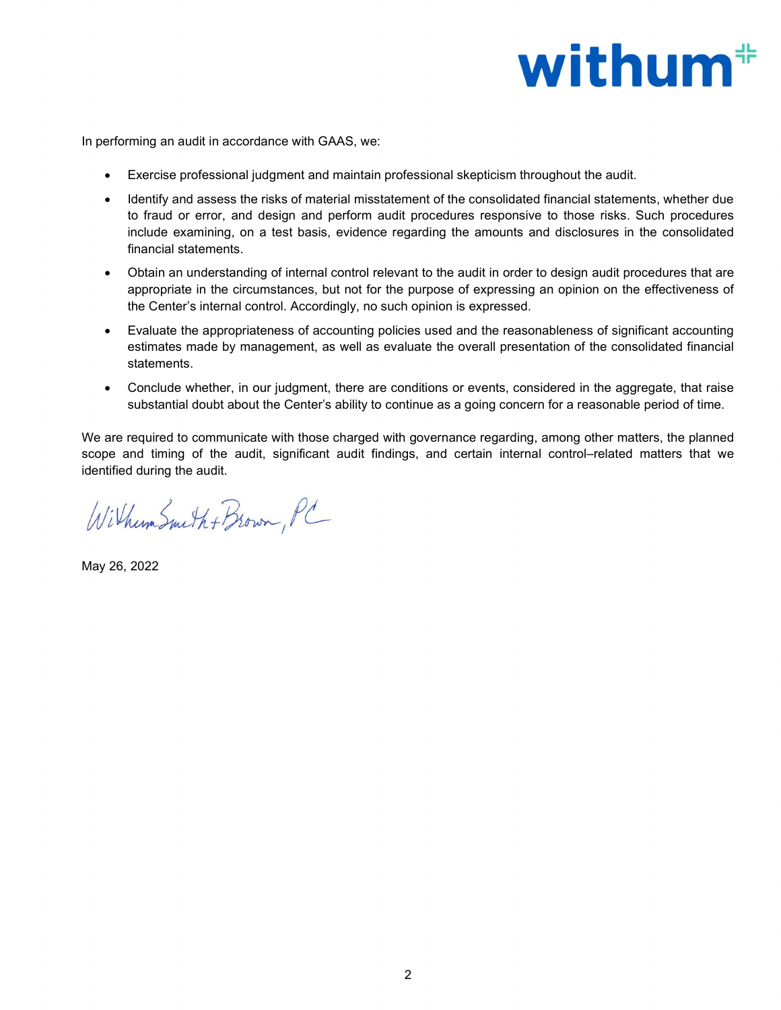# withum<sup>#</sup>

In performing an audit in accordance with GAAS, we:

- Exercise professional judgment and maintain professional skepticism throughout the audit.
- Identify and assess the risks of material misstatement of the consolidated financial statements, whether due to fraud or error, and design and perform audit procedures responsive to those risks. Such procedures include examining, on a test basis, evidence regarding the amounts and disclosures in the consolidated financial statements.
- Obtain an understanding of internal control relevant to the audit in order to design audit procedures that are appropriate in the circumstances, but not for the purpose of expressing an opinion on the effectiveness of the Center's internal control. Accordingly, no such opinion is expressed.
- Evaluate the appropriateness of accounting policies used and the reasonableness of significant accounting estimates made by management, as well as evaluate the overall presentation of the consolidated financial statements.
- Conclude whether, in our judgment, there are conditions or events, considered in the aggregate, that raise substantial doubt about the Center's ability to continue as a going concern for a reasonable period of time.

We are required to communicate with those charged with governance regarding, among other matters, the planned scope and timing of the audit, significant audit findings, and certain internal control–related matters that we identified during the audit.

Wilhum Smith + Brown, PC

May 26, 2022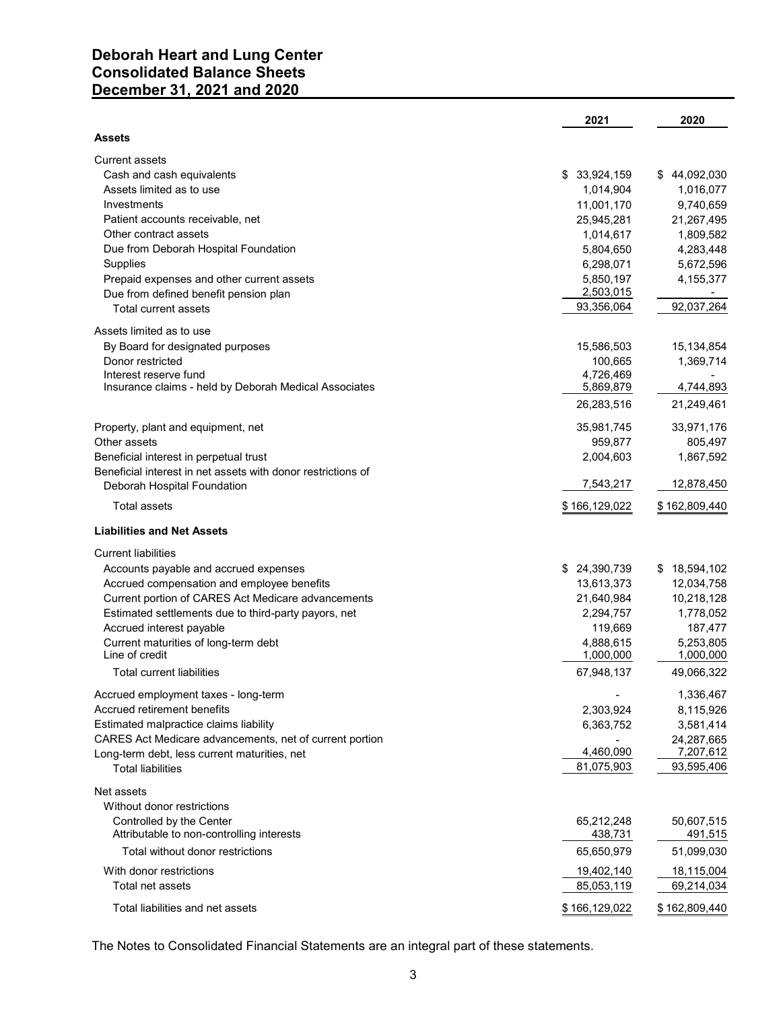# Deborah Heart and Lung Center Consolidated Balance Sheets December 31, 2021 and 2020

| December 31, 2021 and 2020                                   |               |               |
|--------------------------------------------------------------|---------------|---------------|
|                                                              | 2021          | 2020          |
| Assets                                                       |               |               |
| <b>Current assets</b>                                        |               |               |
| Cash and cash equivalents                                    | \$33,924,159  | \$44,092,030  |
| Assets limited as to use                                     | 1,014,904     | 1,016,077     |
| Investments                                                  | 11,001,170    | 9,740,659     |
| Patient accounts receivable, net                             | 25,945,281    | 21,267,495    |
| Other contract assets                                        | 1,014,617     | 1,809,582     |
| Due from Deborah Hospital Foundation                         | 5,804,650     | 4,283,448     |
| Supplies                                                     | 6,298,071     | 5,672,596     |
| Prepaid expenses and other current assets                    | 5,850,197     | 4,155,377     |
| Due from defined benefit pension plan                        | 2,503,015     |               |
| Total current assets                                         | 93,356,064    | 92,037,264    |
| Assets limited as to use                                     |               |               |
| By Board for designated purposes                             | 15,586,503    | 15,134,854    |
| Donor restricted                                             | 100,665       | 1,369,714     |
| Interest reserve fund                                        | 4,726,469     |               |
| Insurance claims - held by Deborah Medical Associates        | 5,869,879     | 4,744,893     |
|                                                              | 26,283,516    | 21,249,461    |
| Property, plant and equipment, net                           | 35,981,745    | 33,971,176    |
| Other assets                                                 | 959,877       | 805,497       |
| Beneficial interest in perpetual trust                       | 2,004,603     | 1,867,592     |
| Beneficial interest in net assets with donor restrictions of |               |               |
| Deborah Hospital Foundation                                  | 7,543,217     | 12,878,450    |
| <b>Total assets</b>                                          | \$166,129,022 | \$162,809,440 |
| <b>Liabilities and Net Assets</b>                            |               |               |
| <b>Current liabilities</b>                                   |               |               |
| Accounts payable and accrued expenses                        | \$ 24,390,739 | \$18,594,102  |
| Accrued compensation and employee benefits                   | 13,613,373    | 12,034,758    |
| Current portion of CARES Act Medicare advancements           | 21,640,984    | 10,218,128    |
| Estimated settlements due to third-party payors, net         | 2,294,757     | 1,778,052     |
| Accrued interest payable                                     | 119,669       | 187,477       |
| Current maturities of long-term debt                         | 4,888,615     | 5,253,805     |
| Line of credit                                               | 1,000,000     | 1,000,000     |
| Total current liabilities                                    | 67,948,137    | 49,066,322    |
| Accrued employment taxes - long-term                         |               | 1,336,467     |
| Accrued retirement benefits                                  | 2,303,924     | 8,115,926     |
| Estimated malpractice claims liability                       | 6,363,752     | 3,581,414     |
| CARES Act Medicare advancements, net of current portion      |               | 24,287,665    |
| Long-term debt, less current maturities, net                 | 4,460,090     | 7,207,612     |
| <b>Total liabilities</b>                                     | 81,075,903    | 93,595,406    |
| Net assets                                                   |               |               |
| Without donor restrictions                                   |               |               |
| Controlled by the Center                                     | 65,212,248    | 50,607,515    |
| Attributable to non-controlling interests                    | 438,731       | 491,515       |
| Total without donor restrictions                             | 65,650,979    | 51,099,030    |
| With donor restrictions                                      | 19,402,140    | 18,115,004    |
| Total net assets                                             | 85,053,119    | 69,214,034    |
| Total liabilities and net assets                             |               |               |
|                                                              | \$166,129,022 | \$162,809,440 |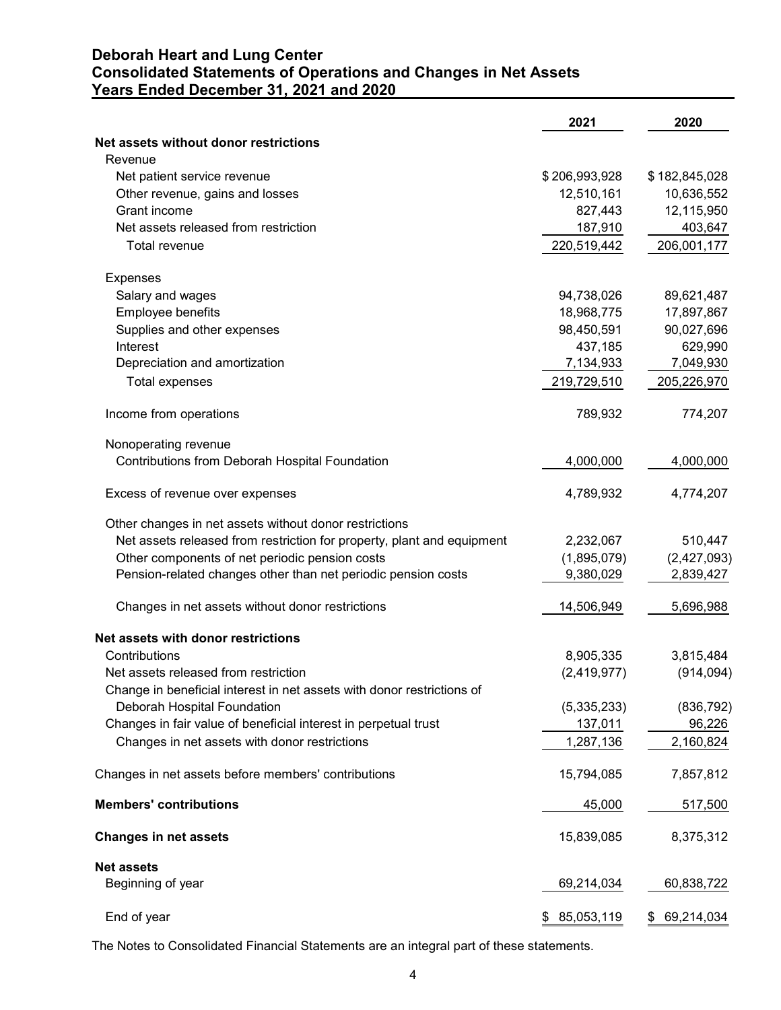# Deborah Heart and Lung Center Consolidated Statements of Operations and Changes in Net Assets Years Ended December 31, 2021 and 2020

|                                                                        | 2021                     | 2020                     |
|------------------------------------------------------------------------|--------------------------|--------------------------|
| Net assets without donor restrictions                                  |                          |                          |
| Revenue                                                                |                          |                          |
| Net patient service revenue                                            | \$206,993,928            | \$182,845,028            |
| Other revenue, gains and losses                                        | 12,510,161               | 10,636,552               |
| Grant income                                                           | 827,443                  | 12,115,950               |
| Net assets released from restriction                                   | 187,910                  | 403,647                  |
| Total revenue                                                          | 220,519,442              | 206,001,177              |
| Expenses                                                               |                          |                          |
| Salary and wages                                                       | 94,738,026               | 89,621,487               |
| Employee benefits                                                      | 18,968,775               | 17,897,867               |
| Supplies and other expenses                                            | 98,450,591               | 90,027,696               |
| Interest                                                               | 437,185                  | 629,990                  |
| Depreciation and amortization                                          | 7,134,933<br>219,729,510 | 7,049,930<br>205,226,970 |
| Total expenses                                                         |                          |                          |
| Income from operations                                                 | 789,932                  | 774,207                  |
| Nonoperating revenue                                                   |                          |                          |
| Contributions from Deborah Hospital Foundation                         | 4,000,000                | 4,000,000                |
| Excess of revenue over expenses                                        | 4,789,932                | 4,774,207                |
| Other changes in net assets without donor restrictions                 |                          |                          |
| Net assets released from restriction for property, plant and equipment | 2,232,067                | 510,447                  |
| Other components of net periodic pension costs                         | (1,895,079)              | (2,427,093)              |
| Pension-related changes other than net periodic pension costs          | 9,380,029                | 2,839,427                |
| Changes in net assets without donor restrictions                       | 14,506,949               | 5,696,988                |
| Net assets with donor restrictions                                     |                          |                          |
| Contributions                                                          | 8,905,335                | 3,815,484                |
| Net assets released from restriction                                   | (2,419,977)              | (914, 094)               |
| Change in beneficial interest in net assets with donor restrictions of |                          |                          |
| Deborah Hospital Foundation                                            | (5,335,233)              | (836, 792)               |
| Changes in fair value of beneficial interest in perpetual trust        | 137,011                  | 96,226                   |
| Changes in net assets with donor restrictions                          | 1,287,136                | 2,160,824                |
| Changes in net assets before members' contributions                    | 15,794,085               | 7,857,812                |
| <b>Members' contributions</b>                                          | 45,000                   | 517,500                  |
| <b>Changes in net assets</b>                                           | 15,839,085               | 8,375,312                |
| <b>Net assets</b>                                                      |                          |                          |
| Beginning of year                                                      | 69,214,034               | 60,838,722               |
| End of year                                                            | \$85,053,119             | \$69,214,034             |
|                                                                        |                          |                          |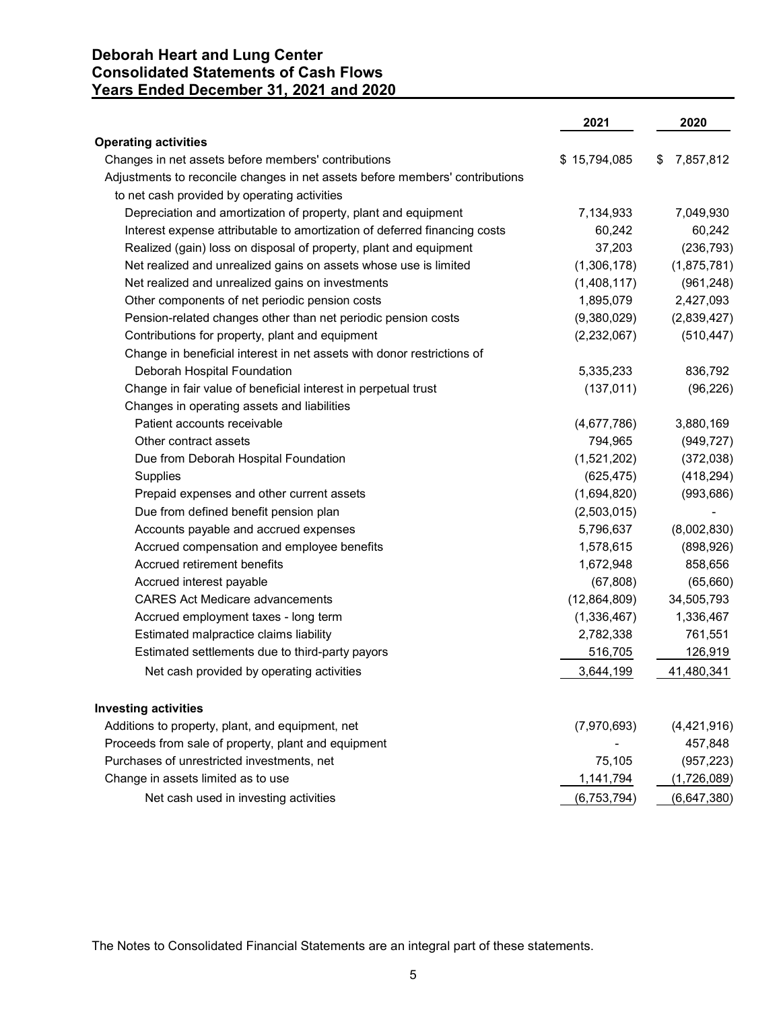# Deborah Heart and Lung Center Consolidated Statements of Cash Flows Years Ended December 31, 2021 and 2020

|                                                                                                                                                                                     | 2021          | 2020        |
|-------------------------------------------------------------------------------------------------------------------------------------------------------------------------------------|---------------|-------------|
| <b>Operating activities</b>                                                                                                                                                         |               |             |
| Changes in net assets before members' contributions<br>Adjustments to reconcile changes in net assets before members' contributions<br>to net cash provided by operating activities | \$15,794,085  | \$7,857,812 |
| Depreciation and amortization of property, plant and equipment                                                                                                                      | 7,134,933     | 7,049,930   |
| Interest expense attributable to amortization of deferred financing costs                                                                                                           | 60,242        | 60,242      |
| Realized (gain) loss on disposal of property, plant and equipment                                                                                                                   | 37,203        | (236, 793)  |
| Net realized and unrealized gains on assets whose use is limited                                                                                                                    | (1,306,178)   | (1,875,781) |
| Net realized and unrealized gains on investments                                                                                                                                    | (1,408,117)   | (961, 248)  |
| Other components of net periodic pension costs                                                                                                                                      | 1,895,079     | 2,427,093   |
| Pension-related changes other than net periodic pension costs                                                                                                                       | (9,380,029)   | (2,839,427) |
| Contributions for property, plant and equipment                                                                                                                                     | (2,232,067)   | (510, 447)  |
| Change in beneficial interest in net assets with donor restrictions of                                                                                                              |               |             |
| Deborah Hospital Foundation                                                                                                                                                         | 5,335,233     | 836,792     |
| Change in fair value of beneficial interest in perpetual trust                                                                                                                      | (137, 011)    | (96, 226)   |
| Changes in operating assets and liabilities                                                                                                                                         |               |             |
| Patient accounts receivable                                                                                                                                                         | (4,677,786)   | 3,880,169   |
| Other contract assets                                                                                                                                                               | 794,965       | (949, 727)  |
| Due from Deborah Hospital Foundation                                                                                                                                                | (1,521,202)   | (372,038)   |
| Supplies                                                                                                                                                                            | (625, 475)    | (418, 294)  |
| Prepaid expenses and other current assets                                                                                                                                           | (1,694,820)   | (993, 686)  |
| Due from defined benefit pension plan                                                                                                                                               | (2,503,015)   |             |
| Accounts payable and accrued expenses                                                                                                                                               | 5,796,637     | (8,002,830) |
| Accrued compensation and employee benefits                                                                                                                                          | 1,578,615     | (898, 926)  |
| Accrued retirement benefits                                                                                                                                                         | 1,672,948     | 858,656     |
| Accrued interest payable                                                                                                                                                            | (67, 808)     | (65, 660)   |
| <b>CARES Act Medicare advancements</b>                                                                                                                                              | (12,864,809)  | 34,505,793  |
| Accrued employment taxes - long term                                                                                                                                                | (1,336,467)   | 1,336,467   |
| Estimated malpractice claims liability                                                                                                                                              | 2,782,338     | 761,551     |
| Estimated settlements due to third-party payors                                                                                                                                     | 516,705       | 126,919     |
| Net cash provided by operating activities                                                                                                                                           | 3,644,199     | 41,480,341  |
| <b>Investing activities</b>                                                                                                                                                         |               |             |
| Additions to property, plant, and equipment, net                                                                                                                                    | (7,970,693)   | (4,421,916) |
| Proceeds from sale of property, plant and equipment                                                                                                                                 |               | 457,848     |
| Purchases of unrestricted investments, net                                                                                                                                          | 75,105        | (957, 223)  |
| Change in assets limited as to use                                                                                                                                                  | 1,141,794     | (1,726,089) |
| Net cash used in investing activities                                                                                                                                               | (6, 753, 794) | (6,647,380) |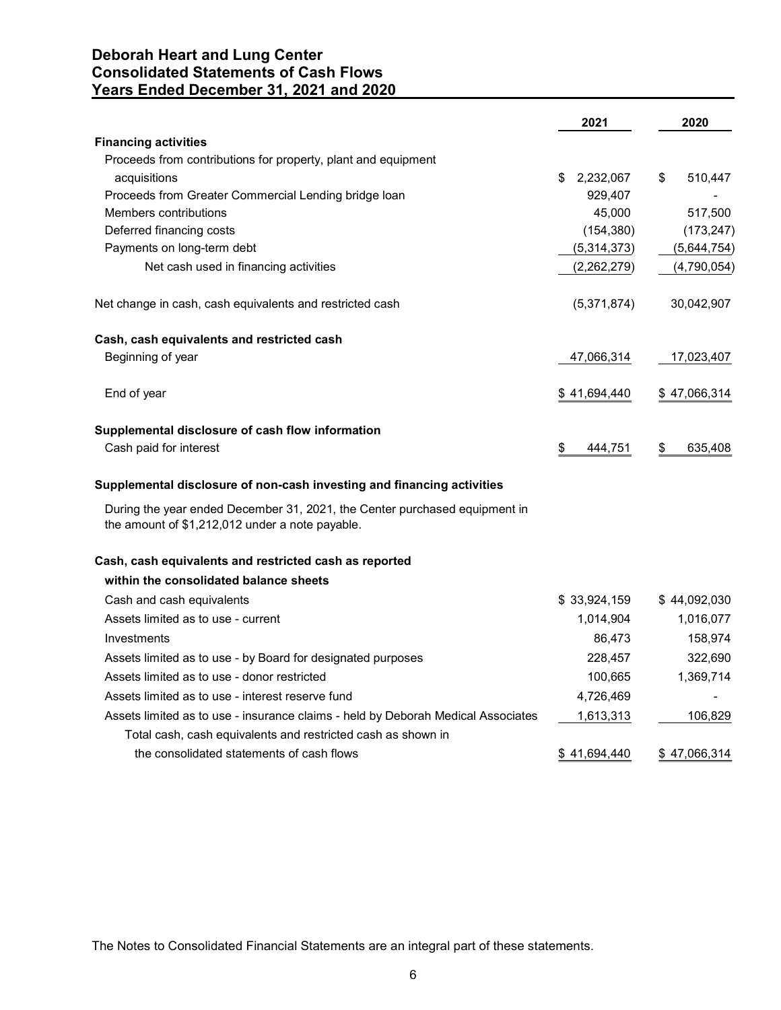# Deborah Heart and Lung Center Consolidated Statements of Cash Flows Years Ended December 31, 2021 and 2020

| Years Ended December 31, 2021 and 2020                                                                                        |                   |               |
|-------------------------------------------------------------------------------------------------------------------------------|-------------------|---------------|
|                                                                                                                               | 2021              | 2020          |
| <b>Financing activities</b>                                                                                                   |                   |               |
| Proceeds from contributions for property, plant and equipment                                                                 |                   |               |
| acquisitions                                                                                                                  | 2,232,067<br>\$.  | \$<br>510,447 |
| Proceeds from Greater Commercial Lending bridge loan<br>Members contributions                                                 | 929,407<br>45,000 | 517,500       |
| Deferred financing costs                                                                                                      | (154, 380)        | (173, 247)    |
| Payments on long-term debt                                                                                                    | (5,314,373)       | (5,644,754)   |
| Net cash used in financing activities                                                                                         | (2,262,279)       | (4,790,054)   |
|                                                                                                                               |                   |               |
| Net change in cash, cash equivalents and restricted cash                                                                      | (5,371,874)       | 30,042,907    |
| Cash, cash equivalents and restricted cash                                                                                    |                   |               |
| Beginning of year                                                                                                             | 47,066,314        | 17,023,407    |
| End of year                                                                                                                   | \$41,694,440      | \$47,066,314  |
| Supplemental disclosure of cash flow information                                                                              |                   |               |
| Cash paid for interest                                                                                                        | \$<br>444,751     | 635,408       |
| Supplemental disclosure of non-cash investing and financing activities                                                        |                   |               |
| During the year ended December 31, 2021, the Center purchased equipment in<br>the amount of \$1,212,012 under a note payable. |                   |               |
| Cash, cash equivalents and restricted cash as reported                                                                        |                   |               |
| within the consolidated balance sheets                                                                                        |                   |               |
| Cash and cash equivalents                                                                                                     | \$33,924,159      | \$44,092,030  |
| Assets limited as to use - current                                                                                            | 1,014,904         | 1,016,077     |
| Investments                                                                                                                   | 86,473            | 158,974       |
| Assets limited as to use - by Board for designated purposes                                                                   | 228,457           | 322,690       |
| Assets limited as to use - donor restricted                                                                                   | 100,665           | 1,369,714     |
| Assets limited as to use - interest reserve fund                                                                              | 4,726,469         |               |
| Assets limited as to use - insurance claims - held by Deborah Medical Associates                                              | 1,613,313         | 106,829       |
| Total cash, cash equivalents and restricted cash as shown in                                                                  |                   |               |
| the consolidated statements of cash flows                                                                                     | \$41,694,440      | \$47,066,314  |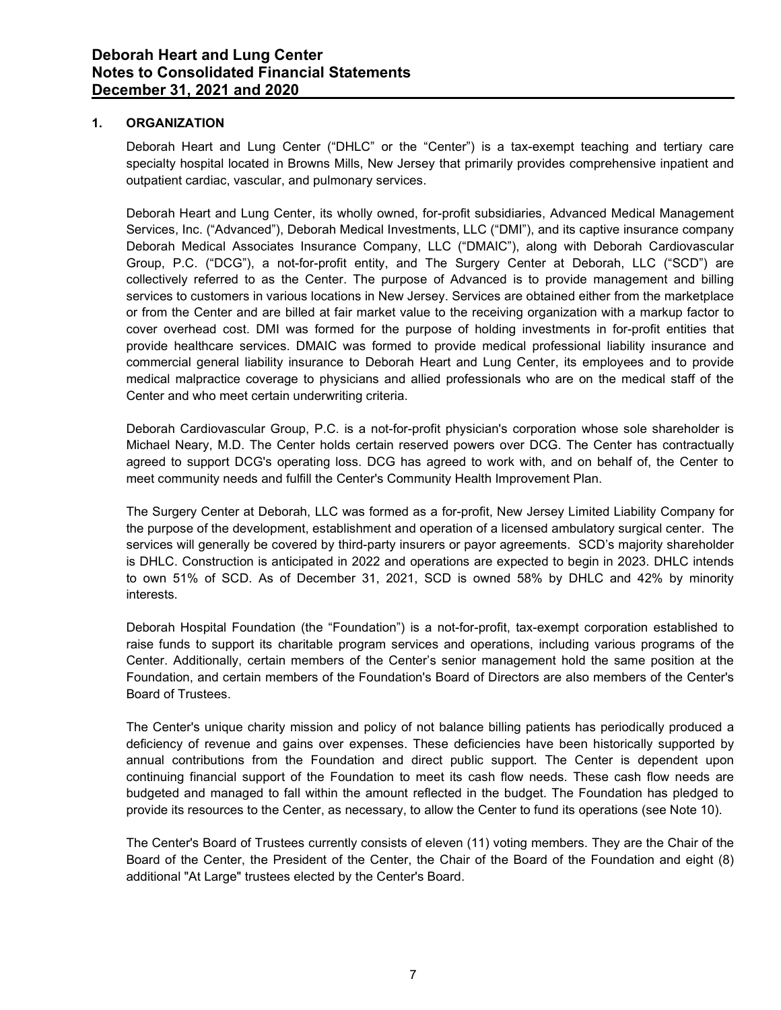## 1. ORGANIZATION

Deborah Heart and Lung Center ("DHLC" or the "Center") is a tax-exempt teaching and tertiary care specialty hospital located in Browns Mills, New Jersey that primarily provides comprehensive inpatient and outpatient cardiac, vascular, and pulmonary services.

Deborah Heart and Lung Center, its wholly owned, for-profit subsidiaries, Advanced Medical Management Services, Inc. ("Advanced"), Deborah Medical Investments, LLC ("DMI"), and its captive insurance company Deborah Medical Associates Insurance Company, LLC ("DMAIC"), along with Deborah Cardiovascular Group, P.C. ("DCG"), a not-for-profit entity, and The Surgery Center at Deborah, LLC ("SCD") are collectively referred to as the Center. The purpose of Advanced is to provide management and billing services to customers in various locations in New Jersey. Services are obtained either from the marketplace or from the Center and are billed at fair market value to the receiving organization with a markup factor to cover overhead cost. DMI was formed for the purpose of holding investments in for-profit entities that provide healthcare services. DMAIC was formed to provide medical professional liability insurance and commercial general liability insurance to Deborah Heart and Lung Center, its employees and to provide medical malpractice coverage to physicians and allied professionals who are on the medical staff of the Center and who meet certain underwriting criteria.

Deborah Cardiovascular Group, P.C. is a not-for-profit physician's corporation whose sole shareholder is Michael Neary, M.D. The Center holds certain reserved powers over DCG. The Center has contractually agreed to support DCG's operating loss. DCG has agreed to work with, and on behalf of, the Center to meet community needs and fulfill the Center's Community Health Improvement Plan.

The Surgery Center at Deborah, LLC was formed as a for-profit, New Jersey Limited Liability Company for the purpose of the development, establishment and operation of a licensed ambulatory surgical center. The services will generally be covered by third-party insurers or payor agreements. SCD's majority shareholder is DHLC. Construction is anticipated in 2022 and operations are expected to begin in 2023. DHLC intends to own 51% of SCD. As of December 31, 2021, SCD is owned 58% by DHLC and 42% by minority interests.

Deborah Hospital Foundation (the "Foundation") is a not-for-profit, tax-exempt corporation established to raise funds to support its charitable program services and operations, including various programs of the Center. Additionally, certain members of the Center's senior management hold the same position at the Foundation, and certain members of the Foundation's Board of Directors are also members of the Center's Board of Trustees.

The Center's unique charity mission and policy of not balance billing patients has periodically produced a deficiency of revenue and gains over expenses. These deficiencies have been historically supported by annual contributions from the Foundation and direct public support. The Center is dependent upon continuing financial support of the Foundation to meet its cash flow needs. These cash flow needs are budgeted and managed to fall within the amount reflected in the budget. The Foundation has pledged to provide its resources to the Center, as necessary, to allow the Center to fund its operations (see Note 10).

The Center's Board of Trustees currently consists of eleven (11) voting members. They are the Chair of the Board of the Center, the President of the Center, the Chair of the Board of the Foundation and eight (8) additional "At Large" trustees elected by the Center's Board.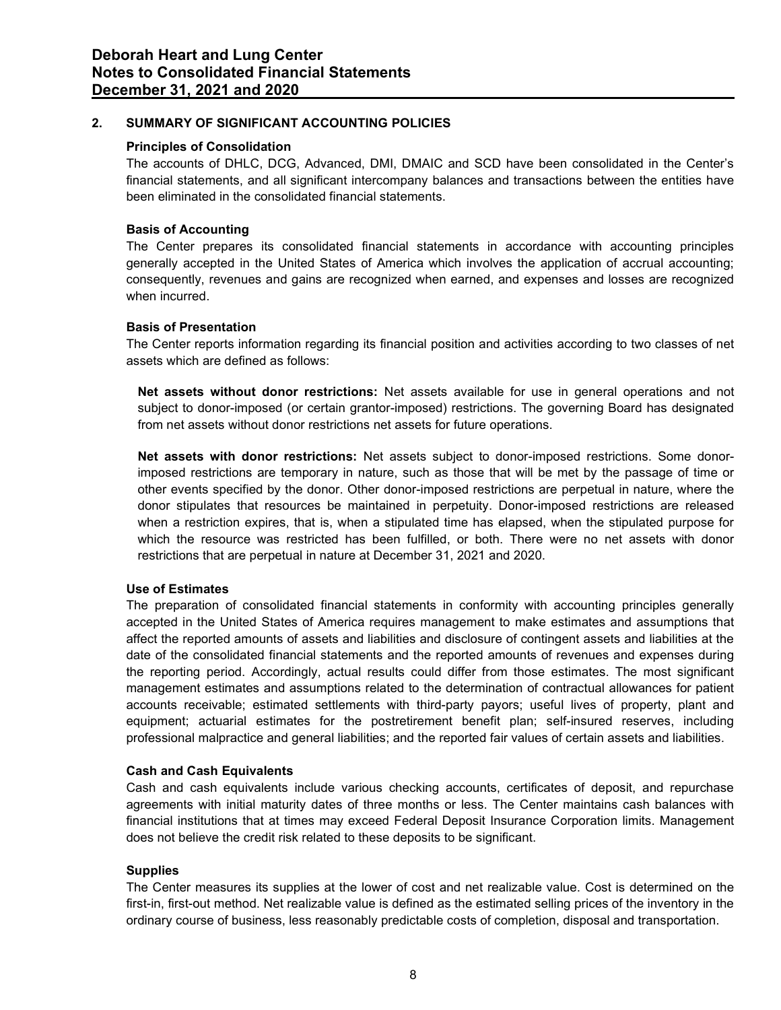# 2. SUMMARY OF SIGNIFICANT ACCOUNTING POLICIES

## Principles of Consolidation

The accounts of DHLC, DCG, Advanced, DMI, DMAIC and SCD have been consolidated in the Center's financial statements, and all significant intercompany balances and transactions between the entities have been eliminated in the consolidated financial statements.

# Basis of Accounting

The Center prepares its consolidated financial statements in accordance with accounting principles generally accepted in the United States of America which involves the application of accrual accounting; consequently, revenues and gains are recognized when earned, and expenses and losses are recognized when incurred.

# Basis of Presentation

The Center reports information regarding its financial position and activities according to two classes of net assets which are defined as follows:

Net assets without donor restrictions: Net assets available for use in general operations and not subject to donor-imposed (or certain grantor-imposed) restrictions. The governing Board has designated from net assets without donor restrictions net assets for future operations.

Net assets with donor restrictions: Net assets subject to donor-imposed restrictions. Some donorimposed restrictions are temporary in nature, such as those that will be met by the passage of time or other events specified by the donor. Other donor-imposed restrictions are perpetual in nature, where the donor stipulates that resources be maintained in perpetuity. Donor-imposed restrictions are released when a restriction expires, that is, when a stipulated time has elapsed, when the stipulated purpose for which the resource was restricted has been fulfilled, or both. There were no net assets with donor restrictions that are perpetual in nature at December 31, 2021 and 2020.

# Use of Estimates

The preparation of consolidated financial statements in conformity with accounting principles generally accepted in the United States of America requires management to make estimates and assumptions that affect the reported amounts of assets and liabilities and disclosure of contingent assets and liabilities at the date of the consolidated financial statements and the reported amounts of revenues and expenses during the reporting period. Accordingly, actual results could differ from those estimates. The most significant management estimates and assumptions related to the determination of contractual allowances for patient accounts receivable; estimated settlements with third-party payors; useful lives of property, plant and equipment; actuarial estimates for the postretirement benefit plan; self-insured reserves, including professional malpractice and general liabilities; and the reported fair values of certain assets and liabilities.

# Cash and Cash Equivalents

Cash and cash equivalents include various checking accounts, certificates of deposit, and repurchase agreements with initial maturity dates of three months or less. The Center maintains cash balances with financial institutions that at times may exceed Federal Deposit Insurance Corporation limits. Management does not believe the credit risk related to these deposits to be significant.

## **Supplies**

The Center measures its supplies at the lower of cost and net realizable value. Cost is determined on the first-in, first-out method. Net realizable value is defined as the estimated selling prices of the inventory in the ordinary course of business, less reasonably predictable costs of completion, disposal and transportation.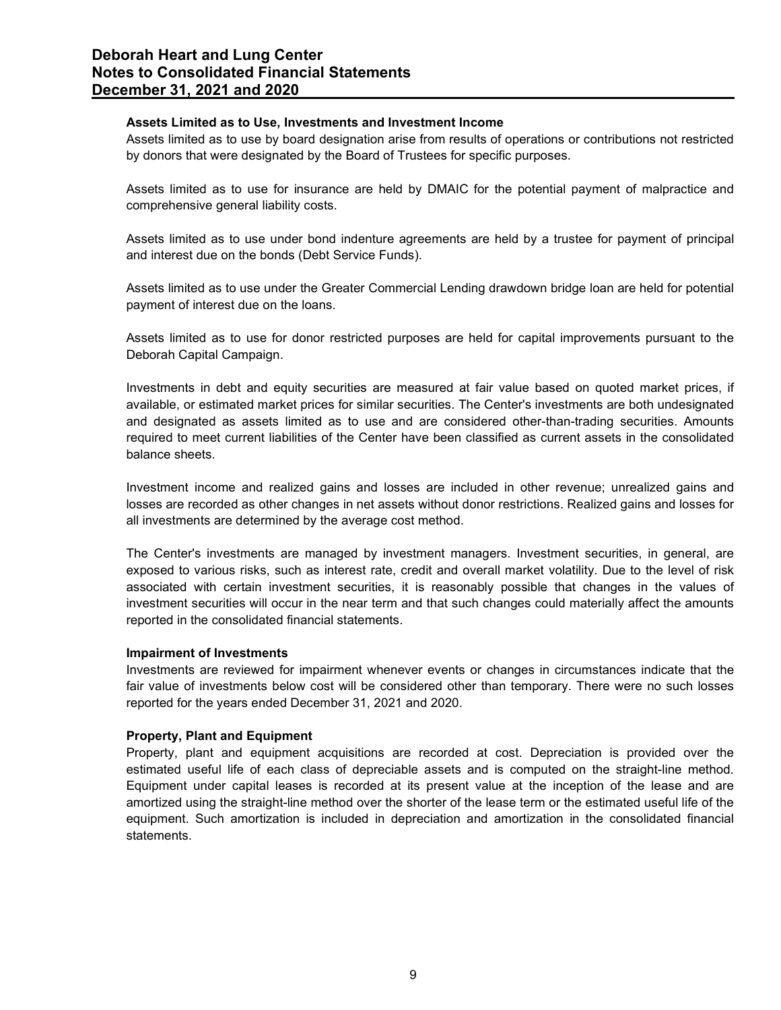## Assets Limited as to Use, Investments and Investment Income

Assets limited as to use by board designation arise from results of operations or contributions not restricted by donors that were designated by the Board of Trustees for specific purposes.

Assets limited as to use for insurance are held by DMAIC for the potential payment of malpractice and comprehensive general liability costs.

Assets limited as to use under bond indenture agreements are held by a trustee for payment of principal and interest due on the bonds (Debt Service Funds).

Assets limited as to use under the Greater Commercial Lending drawdown bridge loan are held for potential payment of interest due on the loans.

Assets limited as to use for donor restricted purposes are held for capital improvements pursuant to the Deborah Capital Campaign.

Investments in debt and equity securities are measured at fair value based on quoted market prices, if available, or estimated market prices for similar securities. The Center's investments are both undesignated and designated as assets limited as to use and are considered other-than-trading securities. Amounts required to meet current liabilities of the Center have been classified as current assets in the consolidated balance sheets.

Investment income and realized gains and losses are included in other revenue; unrealized gains and losses are recorded as other changes in net assets without donor restrictions. Realized gains and losses for all investments are determined by the average cost method.

The Center's investments are managed by investment managers. Investment securities, in general, are exposed to various risks, such as interest rate, credit and overall market volatility. Due to the level of risk associated with certain investment securities, it is reasonably possible that changes in the values of investment securities will occur in the near term and that such changes could materially affect the amounts reported in the consolidated financial statements.

## Impairment of Investments

Investments are reviewed for impairment whenever events or changes in circumstances indicate that the fair value of investments below cost will be considered other than temporary. There were no such losses reported for the years ended December 31, 2021 and 2020.

## Property, Plant and Equipment

Property, plant and equipment acquisitions are recorded at cost. Depreciation is provided over the estimated useful life of each class of depreciable assets and is computed on the straight-line method. Equipment under capital leases is recorded at its present value at the inception of the lease and are amortized using the straight-line method over the shorter of the lease term or the estimated useful life of the equipment. Such amortization is included in depreciation and amortization in the consolidated financial statements.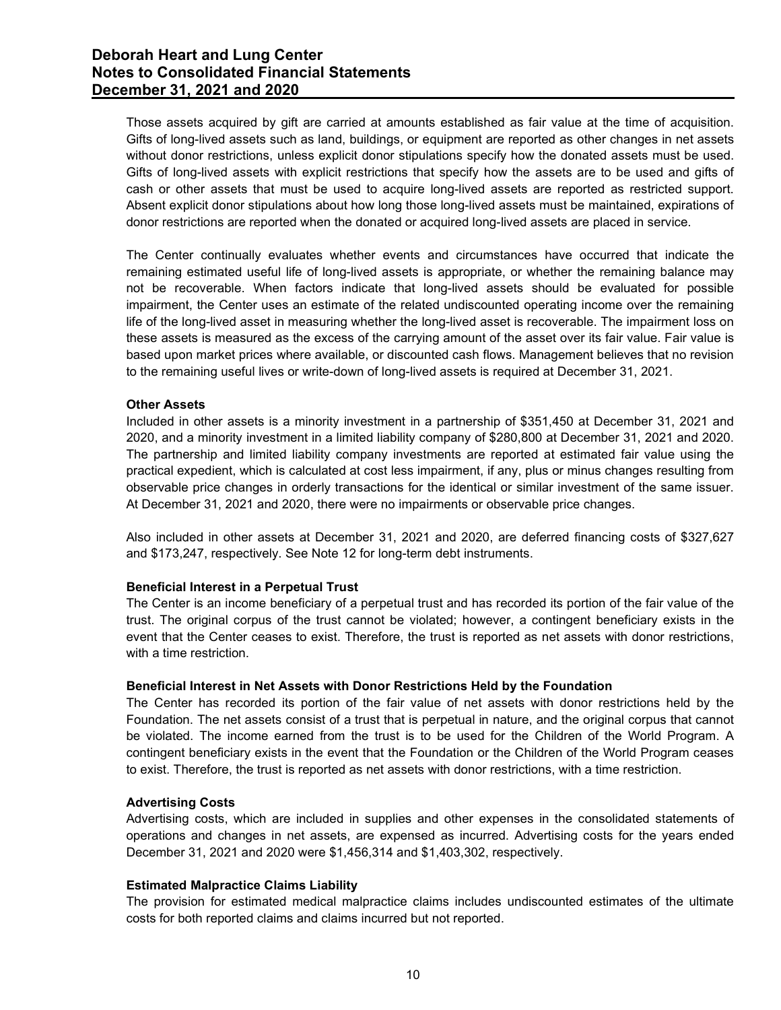Those assets acquired by gift are carried at amounts established as fair value at the time of acquisition. Gifts of long-lived assets such as land, buildings, or equipment are reported as other changes in net assets without donor restrictions, unless explicit donor stipulations specify how the donated assets must be used. Gifts of long-lived assets with explicit restrictions that specify how the assets are to be used and gifts of cash or other assets that must be used to acquire long-lived assets are reported as restricted support. Absent explicit donor stipulations about how long those long-lived assets must be maintained, expirations of donor restrictions are reported when the donated or acquired long-lived assets are placed in service.

The Center continually evaluates whether events and circumstances have occurred that indicate the remaining estimated useful life of long-lived assets is appropriate, or whether the remaining balance may not be recoverable. When factors indicate that long-lived assets should be evaluated for possible impairment, the Center uses an estimate of the related undiscounted operating income over the remaining life of the long-lived asset in measuring whether the long-lived asset is recoverable. The impairment loss on these assets is measured as the excess of the carrying amount of the asset over its fair value. Fair value is based upon market prices where available, or discounted cash flows. Management believes that no revision to the remaining useful lives or write-down of long-lived assets is required at December 31, 2021.

## Other Assets

Included in other assets is a minority investment in a partnership of \$351,450 at December 31, 2021 and 2020, and a minority investment in a limited liability company of \$280,800 at December 31, 2021 and 2020. The partnership and limited liability company investments are reported at estimated fair value using the practical expedient, which is calculated at cost less impairment, if any, plus or minus changes resulting from observable price changes in orderly transactions for the identical or similar investment of the same issuer. At December 31, 2021 and 2020, there were no impairments or observable price changes.

Also included in other assets at December 31, 2021 and 2020, are deferred financing costs of \$327,627 and \$173,247, respectively. See Note 12 for long-term debt instruments.

## Beneficial Interest in a Perpetual Trust

The Center is an income beneficiary of a perpetual trust and has recorded its portion of the fair value of the trust. The original corpus of the trust cannot be violated; however, a contingent beneficiary exists in the event that the Center ceases to exist. Therefore, the trust is reported as net assets with donor restrictions, with a time restriction.

#### Beneficial Interest in Net Assets with Donor Restrictions Held by the Foundation

The Center has recorded its portion of the fair value of net assets with donor restrictions held by the Foundation. The net assets consist of a trust that is perpetual in nature, and the original corpus that cannot be violated. The income earned from the trust is to be used for the Children of the World Program. A contingent beneficiary exists in the event that the Foundation or the Children of the World Program ceases to exist. Therefore, the trust is reported as net assets with donor restrictions, with a time restriction.

## Advertising Costs

Advertising costs, which are included in supplies and other expenses in the consolidated statements of operations and changes in net assets, are expensed as incurred. Advertising costs for the years ended December 31, 2021 and 2020 were \$1,456,314 and \$1,403,302, respectively.

#### Estimated Malpractice Claims Liability

The provision for estimated medical malpractice claims includes undiscounted estimates of the ultimate costs for both reported claims and claims incurred but not reported.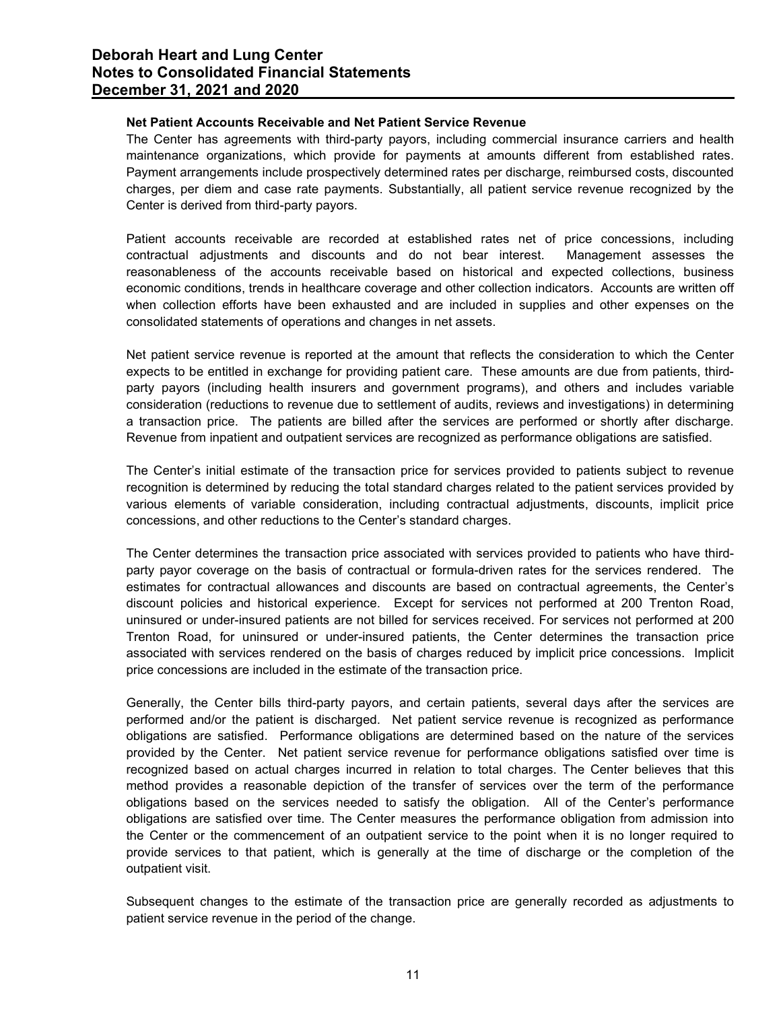## Net Patient Accounts Receivable and Net Patient Service Revenue

The Center has agreements with third-party payors, including commercial insurance carriers and health maintenance organizations, which provide for payments at amounts different from established rates. Payment arrangements include prospectively determined rates per discharge, reimbursed costs, discounted charges, per diem and case rate payments. Substantially, all patient service revenue recognized by the Center is derived from third-party payors.

Patient accounts receivable are recorded at established rates net of price concessions, including contractual adjustments and discounts and do not bear interest. Management assesses the reasonableness of the accounts receivable based on historical and expected collections, business economic conditions, trends in healthcare coverage and other collection indicators. Accounts are written off when collection efforts have been exhausted and are included in supplies and other expenses on the consolidated statements of operations and changes in net assets.

Net patient service revenue is reported at the amount that reflects the consideration to which the Center expects to be entitled in exchange for providing patient care. These amounts are due from patients, thirdparty payors (including health insurers and government programs), and others and includes variable consideration (reductions to revenue due to settlement of audits, reviews and investigations) in determining a transaction price. The patients are billed after the services are performed or shortly after discharge. Revenue from inpatient and outpatient services are recognized as performance obligations are satisfied.

The Center's initial estimate of the transaction price for services provided to patients subject to revenue recognition is determined by reducing the total standard charges related to the patient services provided by various elements of variable consideration, including contractual adjustments, discounts, implicit price concessions, and other reductions to the Center's standard charges.

The Center determines the transaction price associated with services provided to patients who have thirdparty payor coverage on the basis of contractual or formula-driven rates for the services rendered. The estimates for contractual allowances and discounts are based on contractual agreements, the Center's discount policies and historical experience. Except for services not performed at 200 Trenton Road, uninsured or under-insured patients are not billed for services received. For services not performed at 200 Trenton Road, for uninsured or under-insured patients, the Center determines the transaction price associated with services rendered on the basis of charges reduced by implicit price concessions. Implicit price concessions are included in the estimate of the transaction price.

Generally, the Center bills third-party payors, and certain patients, several days after the services are performed and/or the patient is discharged. Net patient service revenue is recognized as performance obligations are satisfied. Performance obligations are determined based on the nature of the services provided by the Center. Net patient service revenue for performance obligations satisfied over time is recognized based on actual charges incurred in relation to total charges. The Center believes that this method provides a reasonable depiction of the transfer of services over the term of the performance obligations based on the services needed to satisfy the obligation. All of the Center's performance obligations are satisfied over time. The Center measures the performance obligation from admission into the Center or the commencement of an outpatient service to the point when it is no longer required to provide services to that patient, which is generally at the time of discharge or the completion of the outpatient visit.

Subsequent changes to the estimate of the transaction price are generally recorded as adjustments to patient service revenue in the period of the change.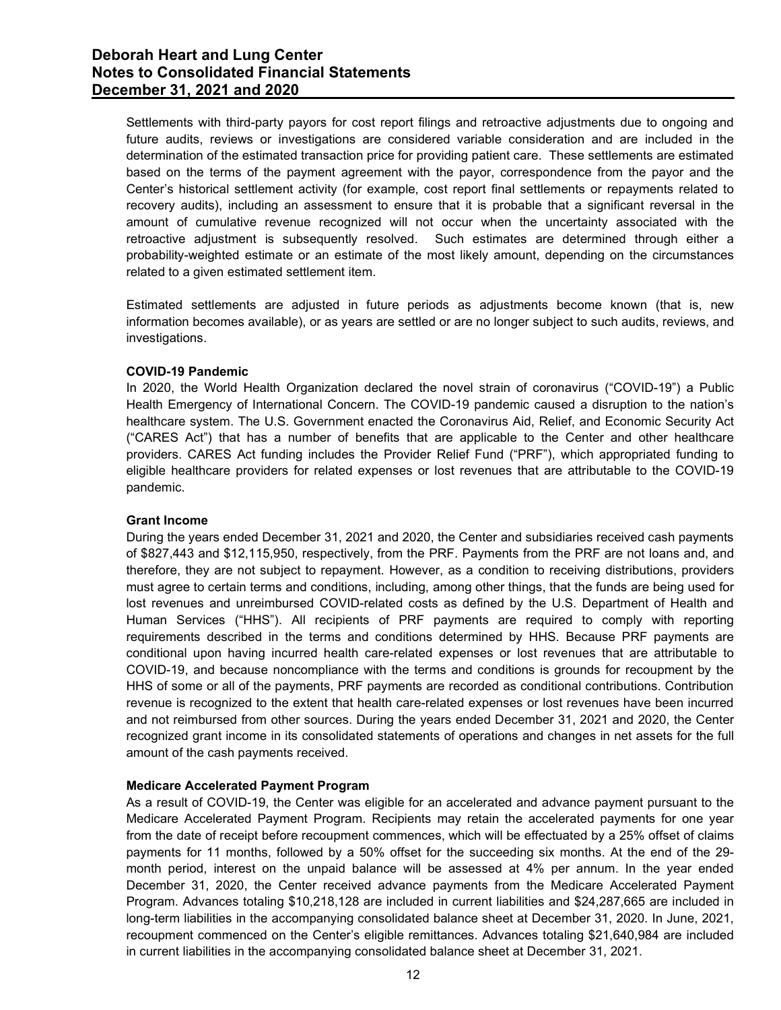Settlements with third-party payors for cost report filings and retroactive adjustments due to ongoing and future audits, reviews or investigations are considered variable consideration and are included in the determination of the estimated transaction price for providing patient care. These settlements are estimated based on the terms of the payment agreement with the payor, correspondence from the payor and the Center's historical settlement activity (for example, cost report final settlements or repayments related to recovery audits), including an assessment to ensure that it is probable that a significant reversal in the amount of cumulative revenue recognized will not occur when the uncertainty associated with the retroactive adjustment is subsequently resolved. Such estimates are determined through either a probability-weighted estimate or an estimate of the most likely amount, depending on the circumstances related to a given estimated settlement item.

Estimated settlements are adjusted in future periods as adjustments become known (that is, new information becomes available), or as years are settled or are no longer subject to such audits, reviews, and investigations.

## COVID-19 Pandemic

In 2020, the World Health Organization declared the novel strain of coronavirus ("COVID-19") a Public Health Emergency of International Concern. The COVID-19 pandemic caused a disruption to the nation's healthcare system. The U.S. Government enacted the Coronavirus Aid, Relief, and Economic Security Act ("CARES Act") that has a number of benefits that are applicable to the Center and other healthcare providers. CARES Act funding includes the Provider Relief Fund ("PRF"), which appropriated funding to eligible healthcare providers for related expenses or lost revenues that are attributable to the COVID-19 pandemic.

## Grant Income

During the years ended December 31, 2021 and 2020, the Center and subsidiaries received cash payments of \$827,443 and \$12,115,950, respectively, from the PRF. Payments from the PRF are not loans and, and therefore, they are not subject to repayment. However, as a condition to receiving distributions, providers must agree to certain terms and conditions, including, among other things, that the funds are being used for lost revenues and unreimbursed COVID-related costs as defined by the U.S. Department of Health and Human Services ("HHS"). All recipients of PRF payments are required to comply with reporting requirements described in the terms and conditions determined by HHS. Because PRF payments are conditional upon having incurred health care-related expenses or lost revenues that are attributable to COVID-19, and because noncompliance with the terms and conditions is grounds for recoupment by the HHS of some or all of the payments, PRF payments are recorded as conditional contributions. Contribution revenue is recognized to the extent that health care-related expenses or lost revenues have been incurred and not reimbursed from other sources. During the years ended December 31, 2021 and 2020, the Center recognized grant income in its consolidated statements of operations and changes in net assets for the full amount of the cash payments received.

## Medicare Accelerated Payment Program

As a result of COVID-19, the Center was eligible for an accelerated and advance payment pursuant to the Medicare Accelerated Payment Program. Recipients may retain the accelerated payments for one year from the date of receipt before recoupment commences, which will be effectuated by a 25% offset of claims payments for 11 months, followed by a 50% offset for the succeeding six months. At the end of the 29 month period, interest on the unpaid balance will be assessed at 4% per annum. In the year ended December 31, 2020, the Center received advance payments from the Medicare Accelerated Payment Program. Advances totaling \$10,218,128 are included in current liabilities and \$24,287,665 are included in long-term liabilities in the accompanying consolidated balance sheet at December 31, 2020. In June, 2021, recoupment commenced on the Center's eligible remittances. Advances totaling \$21,640,984 are included in current liabilities in the accompanying consolidated balance sheet at December 31, 2021.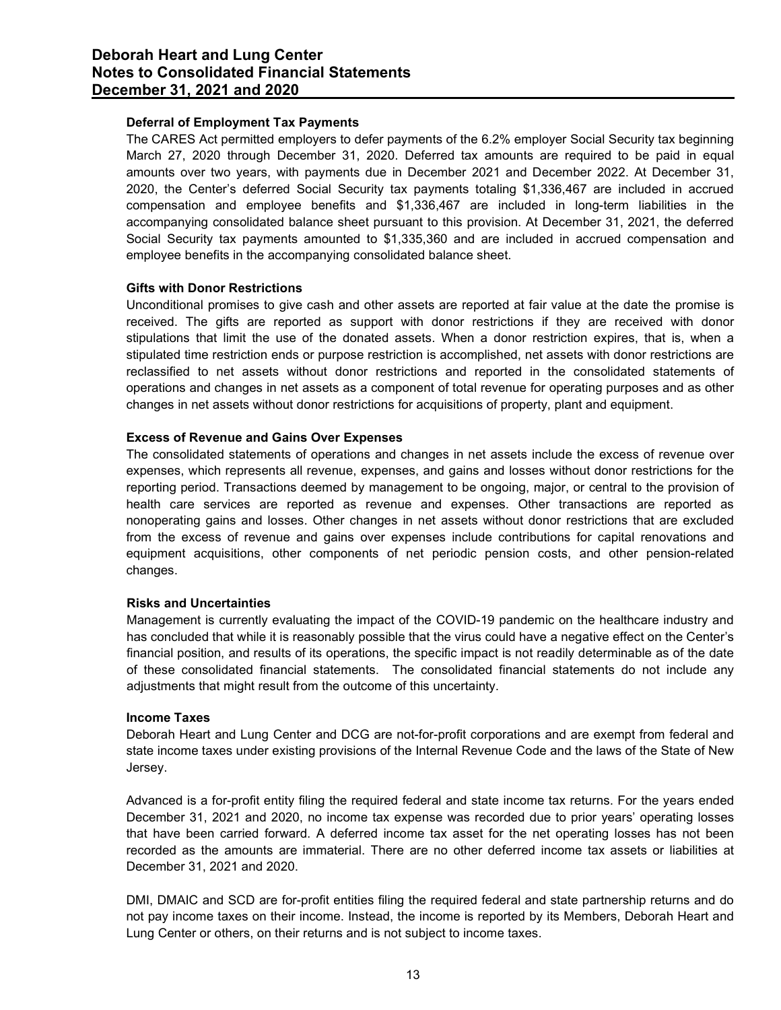# Deferral of Employment Tax Payments

The CARES Act permitted employers to defer payments of the 6.2% employer Social Security tax beginning March 27, 2020 through December 31, 2020. Deferred tax amounts are required to be paid in equal amounts over two years, with payments due in December 2021 and December 2022. At December 31, 2020, the Center's deferred Social Security tax payments totaling \$1,336,467 are included in accrued compensation and employee benefits and \$1,336,467 are included in long-term liabilities in the accompanying consolidated balance sheet pursuant to this provision. At December 31, 2021, the deferred Social Security tax payments amounted to \$1,335,360 and are included in accrued compensation and employee benefits in the accompanying consolidated balance sheet.

## Gifts with Donor Restrictions

Unconditional promises to give cash and other assets are reported at fair value at the date the promise is received. The gifts are reported as support with donor restrictions if they are received with donor stipulations that limit the use of the donated assets. When a donor restriction expires, that is, when a stipulated time restriction ends or purpose restriction is accomplished, net assets with donor restrictions are reclassified to net assets without donor restrictions and reported in the consolidated statements of operations and changes in net assets as a component of total revenue for operating purposes and as other changes in net assets without donor restrictions for acquisitions of property, plant and equipment.

## Excess of Revenue and Gains Over Expenses

The consolidated statements of operations and changes in net assets include the excess of revenue over expenses, which represents all revenue, expenses, and gains and losses without donor restrictions for the reporting period. Transactions deemed by management to be ongoing, major, or central to the provision of health care services are reported as revenue and expenses. Other transactions are reported as nonoperating gains and losses. Other changes in net assets without donor restrictions that are excluded from the excess of revenue and gains over expenses include contributions for capital renovations and equipment acquisitions, other components of net periodic pension costs, and other pension-related changes.

## Risks and Uncertainties

Management is currently evaluating the impact of the COVID-19 pandemic on the healthcare industry and has concluded that while it is reasonably possible that the virus could have a negative effect on the Center's financial position, and results of its operations, the specific impact is not readily determinable as of the date of these consolidated financial statements. The consolidated financial statements do not include any adjustments that might result from the outcome of this uncertainty.

## Income Taxes

Deborah Heart and Lung Center and DCG are not-for-profit corporations and are exempt from federal and state income taxes under existing provisions of the Internal Revenue Code and the laws of the State of New Jersey.

Advanced is a for-profit entity filing the required federal and state income tax returns. For the years ended December 31, 2021 and 2020, no income tax expense was recorded due to prior years' operating losses that have been carried forward. A deferred income tax asset for the net operating losses has not been recorded as the amounts are immaterial. There are no other deferred income tax assets or liabilities at December 31, 2021 and 2020.

DMI, DMAIC and SCD are for-profit entities filing the required federal and state partnership returns and do not pay income taxes on their income. Instead, the income is reported by its Members, Deborah Heart and Lung Center or others, on their returns and is not subject to income taxes.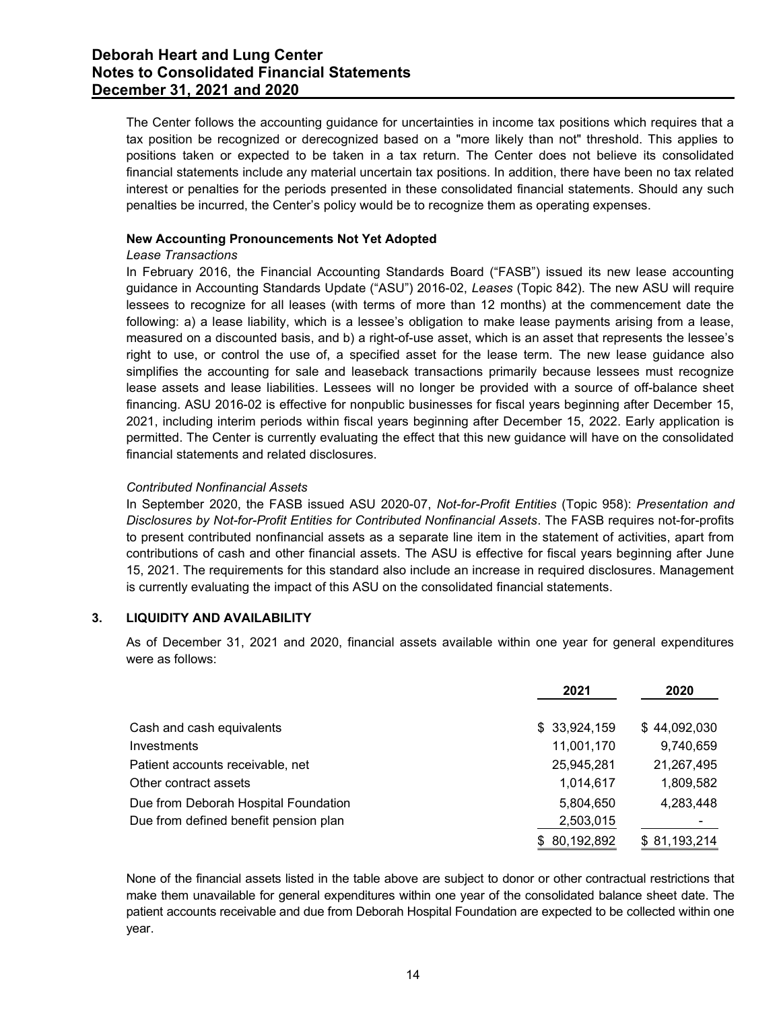The Center follows the accounting guidance for uncertainties in income tax positions which requires that a tax position be recognized or derecognized based on a "more likely than not" threshold. This applies to positions taken or expected to be taken in a tax return. The Center does not believe its consolidated financial statements include any material uncertain tax positions. In addition, there have been no tax related interest or penalties for the periods presented in these consolidated financial statements. Should any such penalties be incurred, the Center's policy would be to recognize them as operating expenses.

## New Accounting Pronouncements Not Yet Adopted

## Lease Transactions

In February 2016, the Financial Accounting Standards Board ("FASB") issued its new lease accounting guidance in Accounting Standards Update ("ASU") 2016-02, Leases (Topic 842). The new ASU will require lessees to recognize for all leases (with terms of more than 12 months) at the commencement date the following: a) a lease liability, which is a lessee's obligation to make lease payments arising from a lease, measured on a discounted basis, and b) a right-of-use asset, which is an asset that represents the lessee's right to use, or control the use of, a specified asset for the lease term. The new lease guidance also simplifies the accounting for sale and leaseback transactions primarily because lessees must recognize lease assets and lease liabilities. Lessees will no longer be provided with a source of off-balance sheet financing. ASU 2016-02 is effective for nonpublic businesses for fiscal years beginning after December 15, 2021, including interim periods within fiscal years beginning after December 15, 2022. Early application is permitted. The Center is currently evaluating the effect that this new guidance will have on the consolidated financial statements and related disclosures.

## Contributed Nonfinancial Assets

# 3. LIQUIDITY AND AVAILABILITY

| inancing. ASU 2016-02 is effective for nonpublic businesses for fiscal years beginning after December 15,<br>2021, including interim periods within fiscal years beginning after December 15, 2022. Early application is<br>bermitted. The Center is currently evaluating the effect that this new guidance will have on the consolidated<br>inancial statements and related disclosures. |                                                                                                                                                                                                                                                                                                                                                                                                                                                                                                                                                                                                                                                                                                                                                                        |              |  |  |  |  |
|-------------------------------------------------------------------------------------------------------------------------------------------------------------------------------------------------------------------------------------------------------------------------------------------------------------------------------------------------------------------------------------------|------------------------------------------------------------------------------------------------------------------------------------------------------------------------------------------------------------------------------------------------------------------------------------------------------------------------------------------------------------------------------------------------------------------------------------------------------------------------------------------------------------------------------------------------------------------------------------------------------------------------------------------------------------------------------------------------------------------------------------------------------------------------|--------------|--|--|--|--|
| <b>Contributed Nonfinancial Assets</b>                                                                                                                                                                                                                                                                                                                                                    | n September 2020, the FASB issued ASU 2020-07, Not-for-Profit Entities (Topic 958): Presentation and<br>Disclosures by Not-for-Profit Entities for Contributed Nonfinancial Assets. The FASB requires not-for-profits<br>o present contributed nonfinancial assets as a separate line item in the statement of activities, apart from<br>contributions of cash and other financial assets. The ASU is effective for fiscal years beginning after June<br>15, 2021. The requirements for this standard also include an increase in required disclosures. Management<br>s currently evaluating the impact of this ASU on the consolidated financial statements.<br>As of December 31, 2021 and 2020, financial assets available within one year for general expenditures |              |  |  |  |  |
|                                                                                                                                                                                                                                                                                                                                                                                           |                                                                                                                                                                                                                                                                                                                                                                                                                                                                                                                                                                                                                                                                                                                                                                        |              |  |  |  |  |
| LIQUIDITY AND AVAILABILITY                                                                                                                                                                                                                                                                                                                                                                |                                                                                                                                                                                                                                                                                                                                                                                                                                                                                                                                                                                                                                                                                                                                                                        |              |  |  |  |  |
| were as follows:                                                                                                                                                                                                                                                                                                                                                                          |                                                                                                                                                                                                                                                                                                                                                                                                                                                                                                                                                                                                                                                                                                                                                                        |              |  |  |  |  |
|                                                                                                                                                                                                                                                                                                                                                                                           | 2021                                                                                                                                                                                                                                                                                                                                                                                                                                                                                                                                                                                                                                                                                                                                                                   | 2020         |  |  |  |  |
| Cash and cash equivalents                                                                                                                                                                                                                                                                                                                                                                 | \$33,924,159                                                                                                                                                                                                                                                                                                                                                                                                                                                                                                                                                                                                                                                                                                                                                           | \$44,092,030 |  |  |  |  |
| Investments                                                                                                                                                                                                                                                                                                                                                                               | 11,001,170                                                                                                                                                                                                                                                                                                                                                                                                                                                                                                                                                                                                                                                                                                                                                             | 9,740,659    |  |  |  |  |
|                                                                                                                                                                                                                                                                                                                                                                                           | 25,945,281                                                                                                                                                                                                                                                                                                                                                                                                                                                                                                                                                                                                                                                                                                                                                             | 21,267,495   |  |  |  |  |
| Patient accounts receivable, net<br>Other contract assets                                                                                                                                                                                                                                                                                                                                 | 1,014,617                                                                                                                                                                                                                                                                                                                                                                                                                                                                                                                                                                                                                                                                                                                                                              | 1,809,582    |  |  |  |  |
| Due from Deborah Hospital Foundation                                                                                                                                                                                                                                                                                                                                                      | 5,804,650                                                                                                                                                                                                                                                                                                                                                                                                                                                                                                                                                                                                                                                                                                                                                              | 4,283,448    |  |  |  |  |
| Due from defined benefit pension plan                                                                                                                                                                                                                                                                                                                                                     | 2,503,015                                                                                                                                                                                                                                                                                                                                                                                                                                                                                                                                                                                                                                                                                                                                                              |              |  |  |  |  |

None of the financial assets listed in the table above are subject to donor or other contractual restrictions that make them unavailable for general expenditures within one year of the consolidated balance sheet date. The patient accounts receivable and due from Deborah Hospital Foundation are expected to be collected within one year.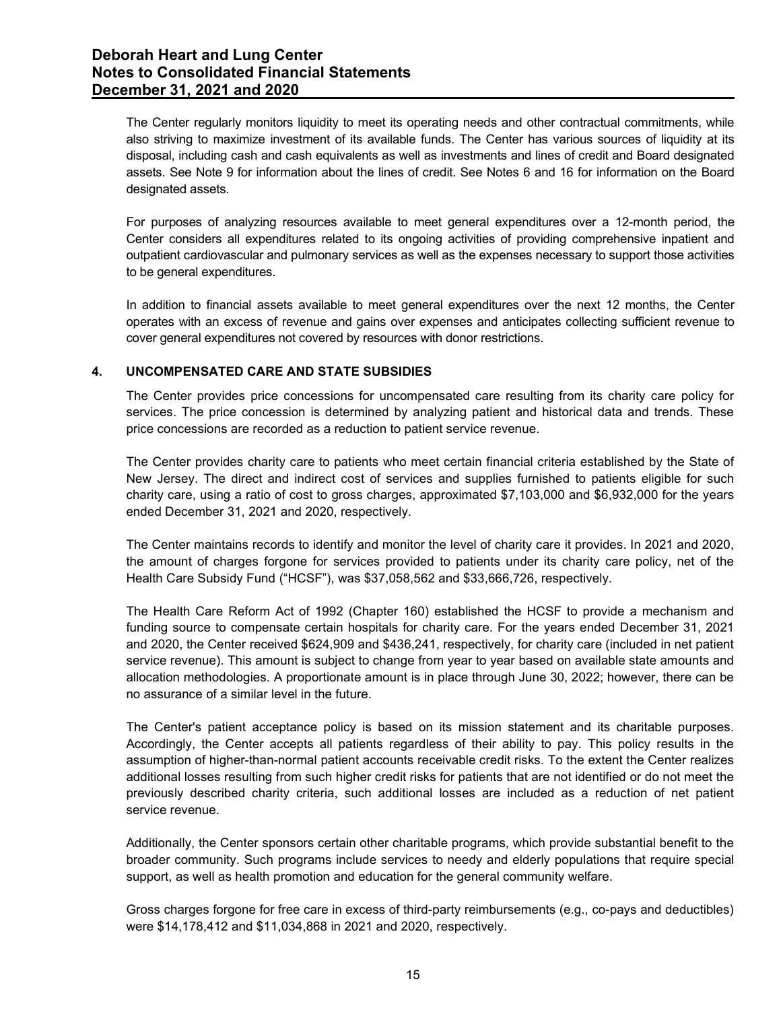The Center regularly monitors liquidity to meet its operating needs and other contractual commitments, while also striving to maximize investment of its available funds. The Center has various sources of liquidity at its disposal, including cash and cash equivalents as well as investments and lines of credit and Board designated assets. See Note 9 for information about the lines of credit. See Notes 6 and 16 for information on the Board designated assets.

For purposes of analyzing resources available to meet general expenditures over a 12-month period, the Center considers all expenditures related to its ongoing activities of providing comprehensive inpatient and outpatient cardiovascular and pulmonary services as well as the expenses necessary to support those activities to be general expenditures.

In addition to financial assets available to meet general expenditures over the next 12 months, the Center operates with an excess of revenue and gains over expenses and anticipates collecting sufficient revenue to cover general expenditures not covered by resources with donor restrictions.

# 4. UNCOMPENSATED CARE AND STATE SUBSIDIES

The Center provides price concessions for uncompensated care resulting from its charity care policy for services. The price concession is determined by analyzing patient and historical data and trends. These price concessions are recorded as a reduction to patient service revenue.

The Center provides charity care to patients who meet certain financial criteria established by the State of New Jersey. The direct and indirect cost of services and supplies furnished to patients eligible for such charity care, using a ratio of cost to gross charges, approximated \$7,103,000 and \$6,932,000 for the years ended December 31, 2021 and 2020, respectively.

The Center maintains records to identify and monitor the level of charity care it provides. In 2021 and 2020, the amount of charges forgone for services provided to patients under its charity care policy, net of the Health Care Subsidy Fund ("HCSF"), was \$37,058,562 and \$33,666,726, respectively.

The Health Care Reform Act of 1992 (Chapter 160) established the HCSF to provide a mechanism and funding source to compensate certain hospitals for charity care. For the years ended December 31, 2021 and 2020, the Center received \$624,909 and \$436,241, respectively, for charity care (included in net patient service revenue). This amount is subject to change from year to year based on available state amounts and allocation methodologies. A proportionate amount is in place through June 30, 2022; however, there can be no assurance of a similar level in the future.

The Center's patient acceptance policy is based on its mission statement and its charitable purposes. Accordingly, the Center accepts all patients regardless of their ability to pay. This policy results in the assumption of higher-than-normal patient accounts receivable credit risks. To the extent the Center realizes additional losses resulting from such higher credit risks for patients that are not identified or do not meet the previously described charity criteria, such additional losses are included as a reduction of net patient service revenue.

Additionally, the Center sponsors certain other charitable programs, which provide substantial benefit to the broader community. Such programs include services to needy and elderly populations that require special support, as well as health promotion and education for the general community welfare.

Gross charges forgone for free care in excess of third-party reimbursements (e.g., co-pays and deductibles) were \$14,178,412 and \$11,034,868 in 2021 and 2020, respectively.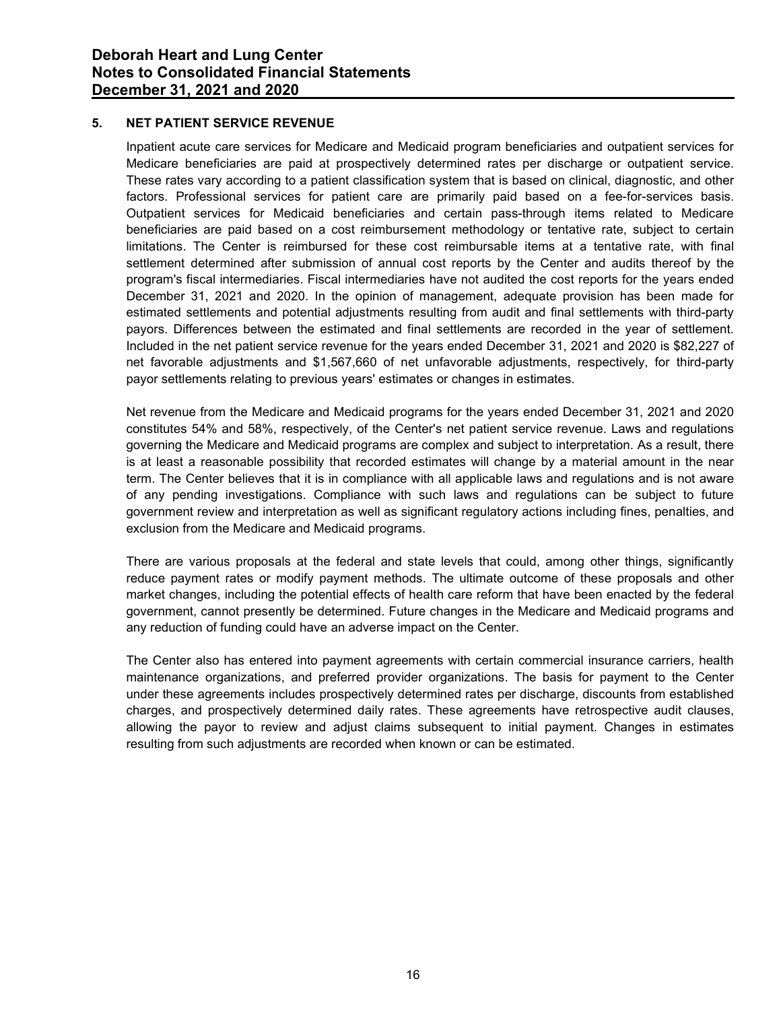## 5. NET PATIENT SERVICE REVENUE

Inpatient acute care services for Medicare and Medicaid program beneficiaries and outpatient services for Medicare beneficiaries are paid at prospectively determined rates per discharge or outpatient service. These rates vary according to a patient classification system that is based on clinical, diagnostic, and other factors. Professional services for patient care are primarily paid based on a fee-for-services basis. Outpatient services for Medicaid beneficiaries and certain pass-through items related to Medicare beneficiaries are paid based on a cost reimbursement methodology or tentative rate, subject to certain limitations. The Center is reimbursed for these cost reimbursable items at a tentative rate, with final settlement determined after submission of annual cost reports by the Center and audits thereof by the program's fiscal intermediaries. Fiscal intermediaries have not audited the cost reports for the years ended December 31, 2021 and 2020. In the opinion of management, adequate provision has been made for estimated settlements and potential adjustments resulting from audit and final settlements with third-party payors. Differences between the estimated and final settlements are recorded in the year of settlement. Included in the net patient service revenue for the years ended December 31, 2021 and 2020 is \$82,227 of net favorable adjustments and \$1,567,660 of net unfavorable adjustments, respectively, for third-party payor settlements relating to previous years' estimates or changes in estimates.

Net revenue from the Medicare and Medicaid programs for the years ended December 31, 2021 and 2020 constitutes 54% and 58%, respectively, of the Center's net patient service revenue. Laws and regulations governing the Medicare and Medicaid programs are complex and subject to interpretation. As a result, there is at least a reasonable possibility that recorded estimates will change by a material amount in the near term. The Center believes that it is in compliance with all applicable laws and regulations and is not aware of any pending investigations. Compliance with such laws and regulations can be subject to future government review and interpretation as well as significant regulatory actions including fines, penalties, and exclusion from the Medicare and Medicaid programs.

There are various proposals at the federal and state levels that could, among other things, significantly reduce payment rates or modify payment methods. The ultimate outcome of these proposals and other market changes, including the potential effects of health care reform that have been enacted by the federal government, cannot presently be determined. Future changes in the Medicare and Medicaid programs and any reduction of funding could have an adverse impact on the Center.

The Center also has entered into payment agreements with certain commercial insurance carriers, health maintenance organizations, and preferred provider organizations. The basis for payment to the Center under these agreements includes prospectively determined rates per discharge, discounts from established charges, and prospectively determined daily rates. These agreements have retrospective audit clauses, allowing the payor to review and adjust claims subsequent to initial payment. Changes in estimates resulting from such adjustments are recorded when known or can be estimated.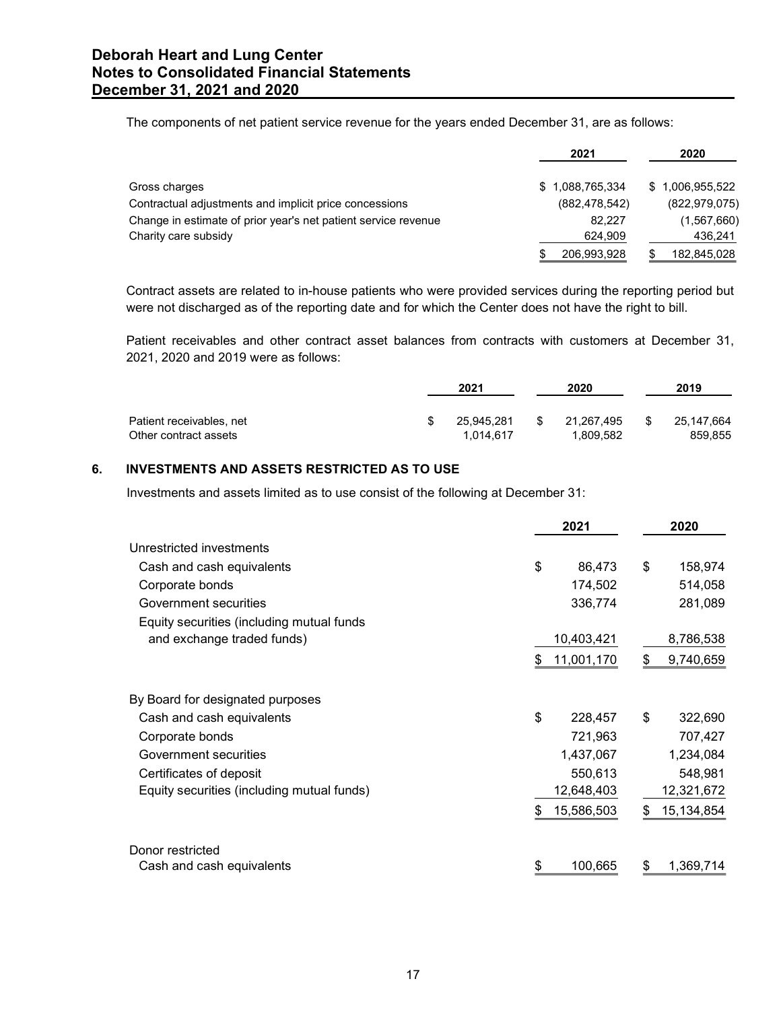| orah Heart and Lung Center<br><b>s to Consolidated Financial Statements</b><br>ember 31, 2021 and 2020<br>The components of net patient service revenue for the years ended December 31, are as follows:<br>2020<br>2021<br>\$1,088,765,334<br>\$1,006,955,522<br>Gross charges<br>Contractual adjustments and implicit price concessions<br>(882, 478, 542)<br>(822, 979, 075)<br>Change in estimate of prior year's net patient service revenue<br>82,227<br>(1, 567, 660)<br>Charity care subsidy<br>624,909<br>436,241<br>206,993,928<br>182,845,028<br>\$<br>S.<br>Contract assets are related to in-house patients who were provided services during the reporting period but<br>were not discharged as of the reporting date and for which the Center does not have the right to bill.<br>Patient receivables and other contract asset balances from contracts with customers at December 31,<br>2021, 2020 and 2019 were as follows:<br>2021<br>2020<br>2019<br>Patient receivables, net<br>25,945,281<br>21,267,495<br>25, 147, 664<br>S<br>\$<br>\$<br>Other contract assets<br>1,809,582<br>859,855<br>1,014,617<br><b>INVESTMENTS AND ASSETS RESTRICTED AS TO USE</b><br>Investments and assets limited as to use consist of the following at December 31: |  |
|------------------------------------------------------------------------------------------------------------------------------------------------------------------------------------------------------------------------------------------------------------------------------------------------------------------------------------------------------------------------------------------------------------------------------------------------------------------------------------------------------------------------------------------------------------------------------------------------------------------------------------------------------------------------------------------------------------------------------------------------------------------------------------------------------------------------------------------------------------------------------------------------------------------------------------------------------------------------------------------------------------------------------------------------------------------------------------------------------------------------------------------------------------------------------------------------------------------------------------------------------------------------|--|
|                                                                                                                                                                                                                                                                                                                                                                                                                                                                                                                                                                                                                                                                                                                                                                                                                                                                                                                                                                                                                                                                                                                                                                                                                                                                        |  |
|                                                                                                                                                                                                                                                                                                                                                                                                                                                                                                                                                                                                                                                                                                                                                                                                                                                                                                                                                                                                                                                                                                                                                                                                                                                                        |  |
|                                                                                                                                                                                                                                                                                                                                                                                                                                                                                                                                                                                                                                                                                                                                                                                                                                                                                                                                                                                                                                                                                                                                                                                                                                                                        |  |
|                                                                                                                                                                                                                                                                                                                                                                                                                                                                                                                                                                                                                                                                                                                                                                                                                                                                                                                                                                                                                                                                                                                                                                                                                                                                        |  |
|                                                                                                                                                                                                                                                                                                                                                                                                                                                                                                                                                                                                                                                                                                                                                                                                                                                                                                                                                                                                                                                                                                                                                                                                                                                                        |  |
|                                                                                                                                                                                                                                                                                                                                                                                                                                                                                                                                                                                                                                                                                                                                                                                                                                                                                                                                                                                                                                                                                                                                                                                                                                                                        |  |
|                                                                                                                                                                                                                                                                                                                                                                                                                                                                                                                                                                                                                                                                                                                                                                                                                                                                                                                                                                                                                                                                                                                                                                                                                                                                        |  |
|                                                                                                                                                                                                                                                                                                                                                                                                                                                                                                                                                                                                                                                                                                                                                                                                                                                                                                                                                                                                                                                                                                                                                                                                                                                                        |  |
|                                                                                                                                                                                                                                                                                                                                                                                                                                                                                                                                                                                                                                                                                                                                                                                                                                                                                                                                                                                                                                                                                                                                                                                                                                                                        |  |
|                                                                                                                                                                                                                                                                                                                                                                                                                                                                                                                                                                                                                                                                                                                                                                                                                                                                                                                                                                                                                                                                                                                                                                                                                                                                        |  |
|                                                                                                                                                                                                                                                                                                                                                                                                                                                                                                                                                                                                                                                                                                                                                                                                                                                                                                                                                                                                                                                                                                                                                                                                                                                                        |  |
|                                                                                                                                                                                                                                                                                                                                                                                                                                                                                                                                                                                                                                                                                                                                                                                                                                                                                                                                                                                                                                                                                                                                                                                                                                                                        |  |
|                                                                                                                                                                                                                                                                                                                                                                                                                                                                                                                                                                                                                                                                                                                                                                                                                                                                                                                                                                                                                                                                                                                                                                                                                                                                        |  |
|                                                                                                                                                                                                                                                                                                                                                                                                                                                                                                                                                                                                                                                                                                                                                                                                                                                                                                                                                                                                                                                                                                                                                                                                                                                                        |  |
|                                                                                                                                                                                                                                                                                                                                                                                                                                                                                                                                                                                                                                                                                                                                                                                                                                                                                                                                                                                                                                                                                                                                                                                                                                                                        |  |
|                                                                                                                                                                                                                                                                                                                                                                                                                                                                                                                                                                                                                                                                                                                                                                                                                                                                                                                                                                                                                                                                                                                                                                                                                                                                        |  |
|                                                                                                                                                                                                                                                                                                                                                                                                                                                                                                                                                                                                                                                                                                                                                                                                                                                                                                                                                                                                                                                                                                                                                                                                                                                                        |  |
|                                                                                                                                                                                                                                                                                                                                                                                                                                                                                                                                                                                                                                                                                                                                                                                                                                                                                                                                                                                                                                                                                                                                                                                                                                                                        |  |
|                                                                                                                                                                                                                                                                                                                                                                                                                                                                                                                                                                                                                                                                                                                                                                                                                                                                                                                                                                                                                                                                                                                                                                                                                                                                        |  |

|                          | 2021       | 2020       | 2019       |  |
|--------------------------|------------|------------|------------|--|
| Patient receivables, net | 25,945,281 | 21,267,495 | 25,147,664 |  |
| Other contract assets    | 014,617    | .809,582   | 859,855    |  |

# 6. INVESTMENTS AND ASSETS RESTRICTED AS TO USE

| Charity care subsidy                                                                                                                                                                                                  |                               | 624,909                       |    | 436,241                 |
|-----------------------------------------------------------------------------------------------------------------------------------------------------------------------------------------------------------------------|-------------------------------|-------------------------------|----|-------------------------|
|                                                                                                                                                                                                                       |                               | 206,993,928                   | \$ | 182,845,028             |
| Contract assets are related to in-house patients who were provided services during the reporting period but<br>were not discharged as of the reporting date and for which the Center does not have the right to bill. |                               |                               |    |                         |
| Patient receivables and other contract asset balances from contracts with customers at December 31,<br>2021, 2020 and 2019 were as follows:                                                                           |                               |                               |    |                         |
|                                                                                                                                                                                                                       | 2021                          | 2020                          |    | 2019                    |
| Patient receivables, net<br>Other contract assets                                                                                                                                                                     | \$<br>25,945,281<br>1,014,617 | \$<br>21,267,495<br>1,809,582 |    | 25, 147, 664<br>859,855 |
| INVESTMENTS AND ASSETS RESTRICTED AS TO USE                                                                                                                                                                           |                               |                               |    |                         |
| Investments and assets limited as to use consist of the following at December 31:                                                                                                                                     |                               |                               |    |                         |
|                                                                                                                                                                                                                       |                               | 2021                          |    | 2020                    |
| Unrestricted investments                                                                                                                                                                                              |                               |                               |    |                         |
| Cash and cash equivalents                                                                                                                                                                                             |                               | \$<br>86,473                  | \$ | 158,974                 |
| Corporate bonds                                                                                                                                                                                                       |                               | 174,502                       |    | 514,058                 |
| Government securities                                                                                                                                                                                                 |                               | 336,774                       |    | 281,089                 |
| Equity securities (including mutual funds                                                                                                                                                                             |                               |                               |    |                         |
| and exchange traded funds)                                                                                                                                                                                            |                               | 10,403,421                    |    | 8,786,538               |
|                                                                                                                                                                                                                       |                               | \$<br>11,001,170              | \$ | 9,740,659               |
| By Board for designated purposes                                                                                                                                                                                      |                               |                               |    |                         |
| Cash and cash equivalents                                                                                                                                                                                             |                               | \$<br>228,457                 | \$ | 322,690                 |
| Corporate bonds                                                                                                                                                                                                       |                               | 721,963                       |    | 707,427                 |
| Government securities                                                                                                                                                                                                 |                               | 1,437,067                     |    | 1,234,084               |
| Certificates of deposit                                                                                                                                                                                               |                               | 550,613                       |    | 548,981                 |
| Equity securities (including mutual funds)                                                                                                                                                                            |                               | 12,648,403                    |    | 12,321,672              |
|                                                                                                                                                                                                                       |                               | 15,586,503                    | S  | 15,134,854              |
| Donor restricted                                                                                                                                                                                                      |                               |                               |    |                         |
| Cash and cash equivalents                                                                                                                                                                                             |                               | \$<br>100,665                 | \$ | 1,369,714               |
|                                                                                                                                                                                                                       |                               |                               |    |                         |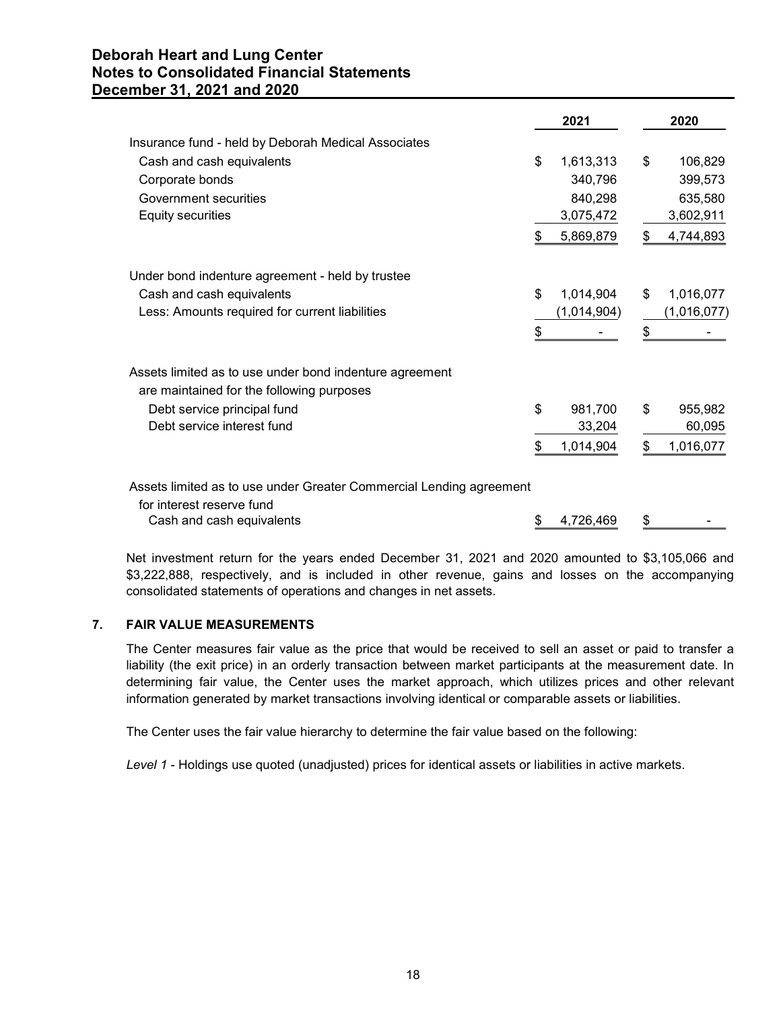|                                                                     | 2021            | 2020            |
|---------------------------------------------------------------------|-----------------|-----------------|
| Insurance fund - held by Deborah Medical Associates                 |                 |                 |
| Cash and cash equivalents                                           | \$<br>1,613,313 | \$<br>106,829   |
| Corporate bonds                                                     | 340,796         | 399,573         |
| Government securities                                               | 840,298         | 635,580         |
| <b>Equity securities</b>                                            | 3,075,472       | 3,602,911       |
|                                                                     | \$<br>5,869,879 | \$<br>4,744,893 |
| Under bond indenture agreement - held by trustee                    |                 |                 |
| Cash and cash equivalents                                           | \$<br>1,014,904 | \$<br>1,016,077 |
| Less: Amounts required for current liabilities                      | (1,014,904)     | (1,016,077)     |
|                                                                     | \$              | \$              |
| Assets limited as to use under bond indenture agreement             |                 |                 |
| are maintained for the following purposes                           |                 |                 |
| Debt service principal fund                                         | \$<br>981,700   | \$<br>955,982   |
| Debt service interest fund                                          | 33,204          | 60,095          |
|                                                                     | \$<br>1,014,904 | \$<br>1,016,077 |
| Assets limited as to use under Greater Commercial Lending agreement |                 |                 |
| for interest reserve fund                                           |                 |                 |
| Cash and cash equivalents                                           | \$<br>4,726,469 | \$              |

Net investment return for the years ended December 31, 2021 and 2020 amounted to \$3,105,066 and \$3,222,888, respectively, and is included in other revenue, gains and losses on the accompanying consolidated statements of operations and changes in net assets.

# 7. FAIR VALUE MEASUREMENTS

The Center measures fair value as the price that would be received to sell an asset or paid to transfer a liability (the exit price) in an orderly transaction between market participants at the measurement date. In determining fair value, the Center uses the market approach, which utilizes prices and other relevant information generated by market transactions involving identical or comparable assets or liabilities.

The Center uses the fair value hierarchy to determine the fair value based on the following:

Level 1 - Holdings use quoted (unadjusted) prices for identical assets or liabilities in active markets.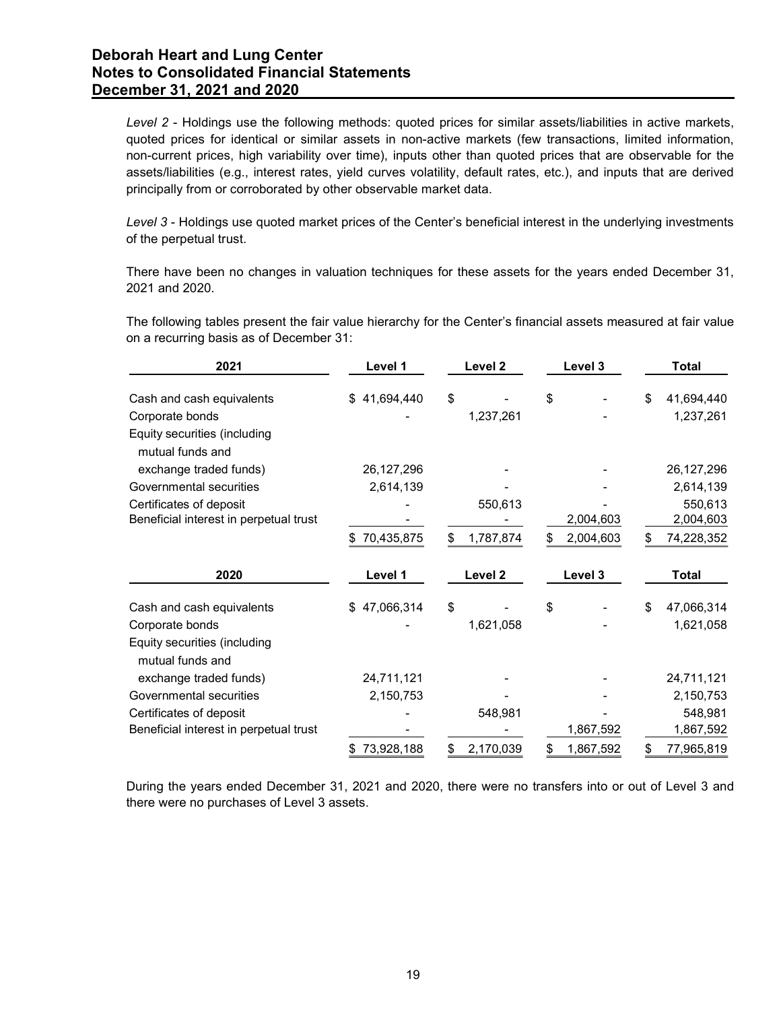| Level 2 - Holdings use the following methods: quoted prices for similar assets/liabilities in active markets,<br>quoted prices for identical or similar assets in non-active markets (few transactions, limited information,<br>non-current prices, high variability over time), inputs other than quoted prices that are observable for the<br>assets/liabilities (e.g., interest rates, yield curves volatility, default rates, etc.), and inputs that are derived<br>principally from or corroborated by other observable market data. |              |                 |                              |                         |
|-------------------------------------------------------------------------------------------------------------------------------------------------------------------------------------------------------------------------------------------------------------------------------------------------------------------------------------------------------------------------------------------------------------------------------------------------------------------------------------------------------------------------------------------|--------------|-----------------|------------------------------|-------------------------|
| Level 3 - Holdings use quoted market prices of the Center's beneficial interest in the underlying investments<br>of the perpetual trust.                                                                                                                                                                                                                                                                                                                                                                                                  |              |                 |                              |                         |
| There have been no changes in valuation techniques for these assets for the years ended December 31,<br>2021 and 2020.                                                                                                                                                                                                                                                                                                                                                                                                                    |              |                 |                              |                         |
| The following tables present the fair value hierarchy for the Center's financial assets measured at fair value<br>on a recurring basis as of December 31:                                                                                                                                                                                                                                                                                                                                                                                 |              |                 |                              |                         |
| 2021                                                                                                                                                                                                                                                                                                                                                                                                                                                                                                                                      | Level 1      | Level 2         | Level 3                      | <b>Total</b>            |
| Cash and cash equivalents                                                                                                                                                                                                                                                                                                                                                                                                                                                                                                                 | \$41,694,440 | \$              | \$                           | 41,694,440<br>S         |
| Corporate bonds<br>Equity securities (including<br>mutual funds and                                                                                                                                                                                                                                                                                                                                                                                                                                                                       |              | 1,237,261       |                              | 1,237,261               |
| exchange traded funds)                                                                                                                                                                                                                                                                                                                                                                                                                                                                                                                    | 26, 127, 296 |                 |                              | 26,127,296              |
| Governmental securities                                                                                                                                                                                                                                                                                                                                                                                                                                                                                                                   | 2,614,139    |                 |                              | 2,614,139               |
| Certificates of deposit                                                                                                                                                                                                                                                                                                                                                                                                                                                                                                                   |              | 550,613         |                              | 550,613                 |
| Beneficial interest in perpetual trust                                                                                                                                                                                                                                                                                                                                                                                                                                                                                                    |              |                 | 2,004,603                    | 2,004,603               |
|                                                                                                                                                                                                                                                                                                                                                                                                                                                                                                                                           | \$70,435,875 | 1,787,874<br>S. | 2,004,603<br>\$              | 74,228,352              |
| 2020                                                                                                                                                                                                                                                                                                                                                                                                                                                                                                                                      | Level 1      | Level 2         | Level 3                      | <b>Total</b>            |
| Cash and cash equivalents                                                                                                                                                                                                                                                                                                                                                                                                                                                                                                                 | \$47,066,314 |                 | \$                           | 47,066,314              |
| Corporate bonds                                                                                                                                                                                                                                                                                                                                                                                                                                                                                                                           |              | 1,621,058       |                              | 1,621,058               |
| Equity securities (including<br>mutual funds and                                                                                                                                                                                                                                                                                                                                                                                                                                                                                          |              |                 |                              |                         |
| exchange traded funds)                                                                                                                                                                                                                                                                                                                                                                                                                                                                                                                    | 24,711,121   |                 |                              | 24,711,121              |
|                                                                                                                                                                                                                                                                                                                                                                                                                                                                                                                                           | 2,150,753    |                 |                              | 2,150,753               |
| Governmental securities                                                                                                                                                                                                                                                                                                                                                                                                                                                                                                                   |              |                 |                              | 548,981                 |
| Certificates of deposit                                                                                                                                                                                                                                                                                                                                                                                                                                                                                                                   |              | 548,981         |                              |                         |
| Beneficial interest in perpetual trust                                                                                                                                                                                                                                                                                                                                                                                                                                                                                                    | \$73,928,188 | 2,170,039<br>\$ | 1,867,592<br>1,867,592<br>\$ | 1,867,592<br>77,965,819 |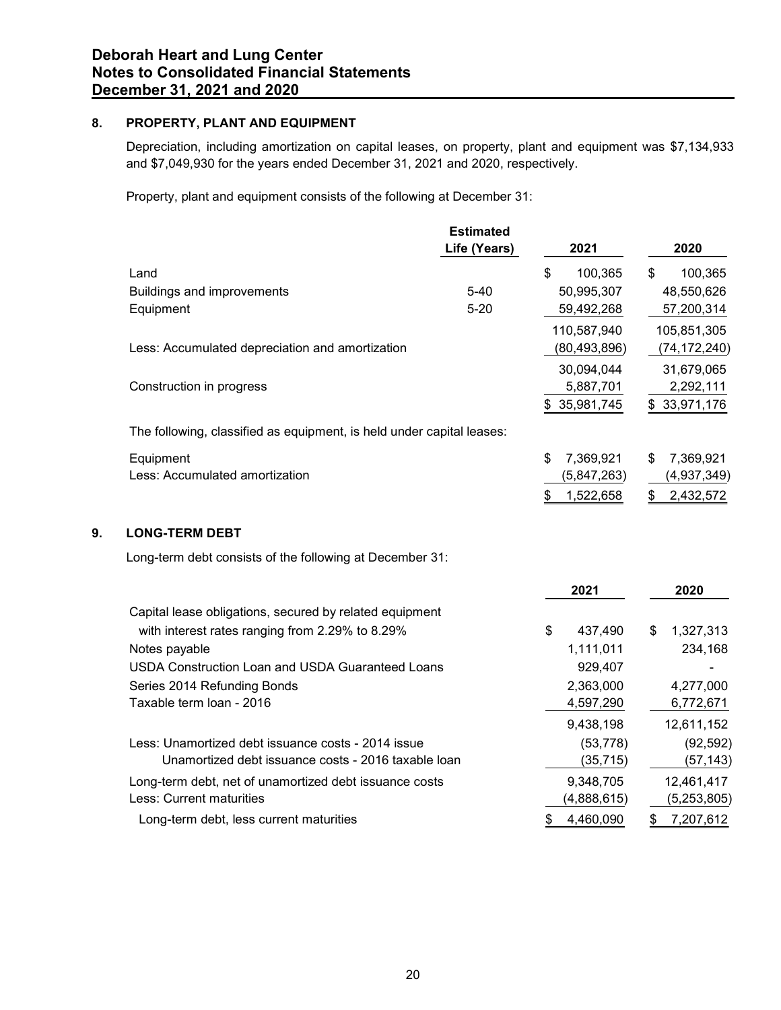# 8. PROPERTY, PLANT AND EQUIPMENT

| PROPERTY, PLANT AND EQUIPMENT                                                                                                                                                             |                                  |                 |                 |
|-------------------------------------------------------------------------------------------------------------------------------------------------------------------------------------------|----------------------------------|-----------------|-----------------|
| Depreciation, including amortization on capital leases, on property, plant and equipment was \$7,134,933<br>and \$7,049,930 for the years ended December 31, 2021 and 2020, respectively. |                                  |                 |                 |
| Property, plant and equipment consists of the following at December 31:                                                                                                                   |                                  |                 |                 |
|                                                                                                                                                                                           | <b>Estimated</b><br>Life (Years) | 2021            | 2020            |
| Land                                                                                                                                                                                      |                                  | \$<br>100,365   | 100,365<br>\$.  |
| <b>Buildings and improvements</b>                                                                                                                                                         | $5 - 40$                         | 50,995,307      | 48,550,626      |
| Equipment                                                                                                                                                                                 | $5 - 20$                         | 59,492,268      | 57,200,314      |
|                                                                                                                                                                                           |                                  | 110,587,940     | 105,851,305     |
| Less: Accumulated depreciation and amortization                                                                                                                                           |                                  | (80, 493, 896)  | (74, 172, 240)  |
|                                                                                                                                                                                           |                                  | 30,094,044      | 31,679,065      |
| Construction in progress                                                                                                                                                                  |                                  | 5,887,701       | 2,292,111       |
|                                                                                                                                                                                           |                                  | \$35,981,745    | \$33,971,176    |
| The following, classified as equipment, is held under capital leases:                                                                                                                     |                                  |                 |                 |
| Equipment                                                                                                                                                                                 |                                  | 7,369,921       | 7,369,921<br>S. |
| Less: Accumulated amortization                                                                                                                                                            |                                  | (5,847,263)     | (4,937,349)     |
|                                                                                                                                                                                           |                                  | 1,522,658<br>\$ | 2,432,572<br>\$ |
| <b>LONG-TERM DEBT</b>                                                                                                                                                                     |                                  |                 |                 |
| Long-term debt consists of the following at December 31:                                                                                                                                  |                                  |                 |                 |
|                                                                                                                                                                                           |                                  | 2021            | 2020            |
| Capital lease obligations, secured by related equipment                                                                                                                                   |                                  |                 |                 |
| with interest rates ranging from 2.29% to 8.29%                                                                                                                                           |                                  | \$<br>437,490   | 1,327,313<br>\$ |
| Notes payable                                                                                                                                                                             |                                  | 1,111,011       | 234,168         |
| <b>USDA Construction Loan and USDA Guaranteed Loans</b>                                                                                                                                   |                                  | 929,407         |                 |
| Series 2014 Refunding Bonds                                                                                                                                                               |                                  | 2,363,000       | 4,277,000       |
| Taxable term loan - 2016                                                                                                                                                                  |                                  | 4,597,290       | 6,772,671       |

# 9. LONG-TERM DEBT

|                                                                       | 110,587,940     | 105,851,305     |
|-----------------------------------------------------------------------|-----------------|-----------------|
| Less: Accumulated depreciation and amortization                       | (80, 493, 896)  | (74, 172, 240)  |
|                                                                       | 30,094,044      | 31,679,065      |
| Construction in progress                                              | 5,887,701       | 2,292,111       |
|                                                                       | \$35,981,745    | \$33,971,176    |
| The following, classified as equipment, is held under capital leases: |                 |                 |
| Equipment                                                             | \$<br>7,369,921 | 7,369,921<br>\$ |
| Less: Accumulated amortization                                        | (5,847,263)     | (4,937,349)     |
|                                                                       | 1,522,658<br>\$ | 2,432,572<br>\$ |
|                                                                       |                 |                 |
| <b>LONG-TERM DEBT</b>                                                 |                 |                 |
| Long-term debt consists of the following at December 31:              |                 |                 |
|                                                                       | 2021            | 2020            |
| Capital lease obligations, secured by related equipment               |                 |                 |
| with interest rates ranging from 2.29% to 8.29%                       | \$<br>437,490   | 1,327,313<br>\$ |
| Notes payable                                                         | 1,111,011       | 234,168         |
| USDA Construction Loan and USDA Guaranteed Loans                      | 929,407         |                 |
| Series 2014 Refunding Bonds                                           | 2,363,000       | 4,277,000       |
| Taxable term loan - 2016                                              | 4,597,290       | 6,772,671       |
|                                                                       | 9,438,198       | 12,611,152      |
| Less: Unamortized debt issuance costs - 2014 issue                    | (53, 778)       | (92, 592)       |
| Unamortized debt issuance costs - 2016 taxable loan                   | (35, 715)       | (57, 143)       |
| Long-term debt, net of unamortized debt issuance costs                | 9,348,705       | 12,461,417      |
| Less: Current maturities                                              | (4,888,615)     | (5,253,805)     |
| Long-term debt, less current maturities                               | 4,460,090       | 7,207,612<br>\$ |
|                                                                       |                 |                 |
|                                                                       |                 |                 |
|                                                                       |                 |                 |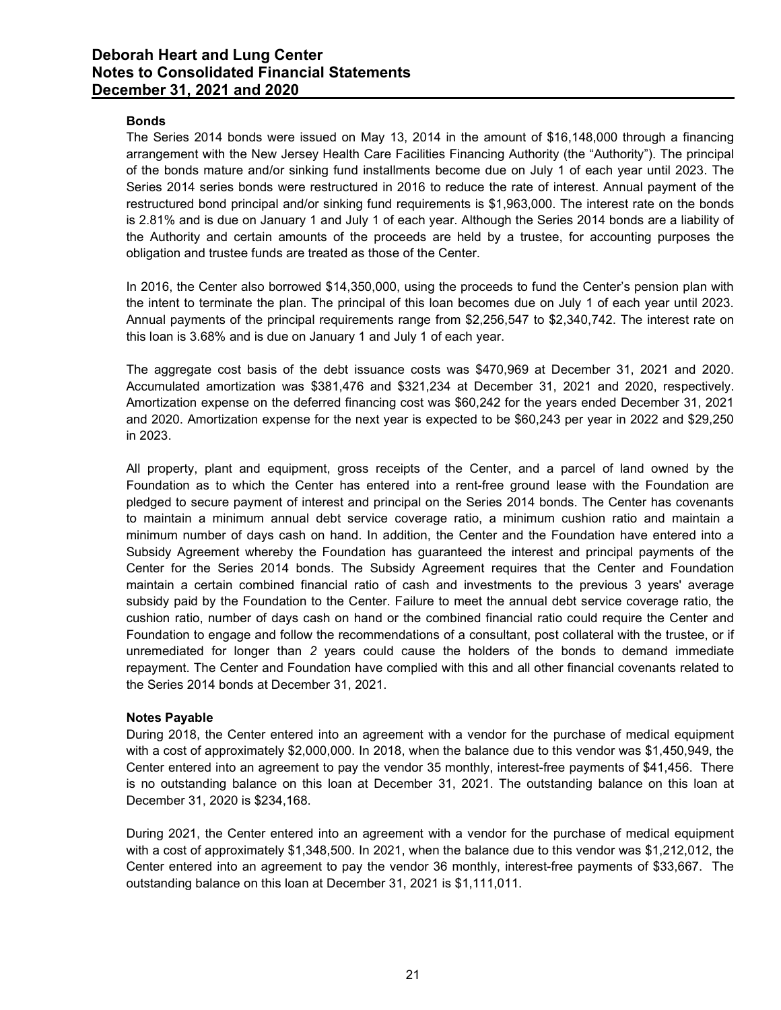## Bonds

The Series 2014 bonds were issued on May 13, 2014 in the amount of \$16,148,000 through a financing arrangement with the New Jersey Health Care Facilities Financing Authority (the "Authority"). The principal of the bonds mature and/or sinking fund installments become due on July 1 of each year until 2023. The Series 2014 series bonds were restructured in 2016 to reduce the rate of interest. Annual payment of the restructured bond principal and/or sinking fund requirements is \$1,963,000. The interest rate on the bonds is 2.81% and is due on January 1 and July 1 of each year. Although the Series 2014 bonds are a liability of the Authority and certain amounts of the proceeds are held by a trustee, for accounting purposes the obligation and trustee funds are treated as those of the Center.

In 2016, the Center also borrowed \$14,350,000, using the proceeds to fund the Center's pension plan with the intent to terminate the plan. The principal of this loan becomes due on July 1 of each year until 2023. Annual payments of the principal requirements range from \$2,256,547 to \$2,340,742. The interest rate on this loan is 3.68% and is due on January 1 and July 1 of each year.

The aggregate cost basis of the debt issuance costs was \$470,969 at December 31, 2021 and 2020. Accumulated amortization was \$381,476 and \$321,234 at December 31, 2021 and 2020, respectively. Amortization expense on the deferred financing cost was \$60,242 for the years ended December 31, 2021 and 2020. Amortization expense for the next year is expected to be \$60,243 per year in 2022 and \$29,250 in 2023.

All property, plant and equipment, gross receipts of the Center, and a parcel of land owned by the Foundation as to which the Center has entered into a rent-free ground lease with the Foundation are pledged to secure payment of interest and principal on the Series 2014 bonds. The Center has covenants to maintain a minimum annual debt service coverage ratio, a minimum cushion ratio and maintain a minimum number of days cash on hand. In addition, the Center and the Foundation have entered into a Subsidy Agreement whereby the Foundation has guaranteed the interest and principal payments of the Center for the Series 2014 bonds. The Subsidy Agreement requires that the Center and Foundation maintain a certain combined financial ratio of cash and investments to the previous 3 years' average subsidy paid by the Foundation to the Center. Failure to meet the annual debt service coverage ratio, the cushion ratio, number of days cash on hand or the combined financial ratio could require the Center and Foundation to engage and follow the recommendations of a consultant, post collateral with the trustee, or if unremediated for longer than 2 years could cause the holders of the bonds to demand immediate repayment. The Center and Foundation have complied with this and all other financial covenants related to the Series 2014 bonds at December 31, 2021.

## Notes Payable

During 2018, the Center entered into an agreement with a vendor for the purchase of medical equipment with a cost of approximately \$2,000,000. In 2018, when the balance due to this vendor was \$1,450,949, the Center entered into an agreement to pay the vendor 35 monthly, interest-free payments of \$41,456. There is no outstanding balance on this loan at December 31, 2021. The outstanding balance on this loan at December 31, 2020 is \$234,168.

During 2021, the Center entered into an agreement with a vendor for the purchase of medical equipment with a cost of approximately \$1,348,500. In 2021, when the balance due to this vendor was \$1,212,012, the Center entered into an agreement to pay the vendor 36 monthly, interest-free payments of \$33,667. The outstanding balance on this loan at December 31, 2021 is \$1,111,011.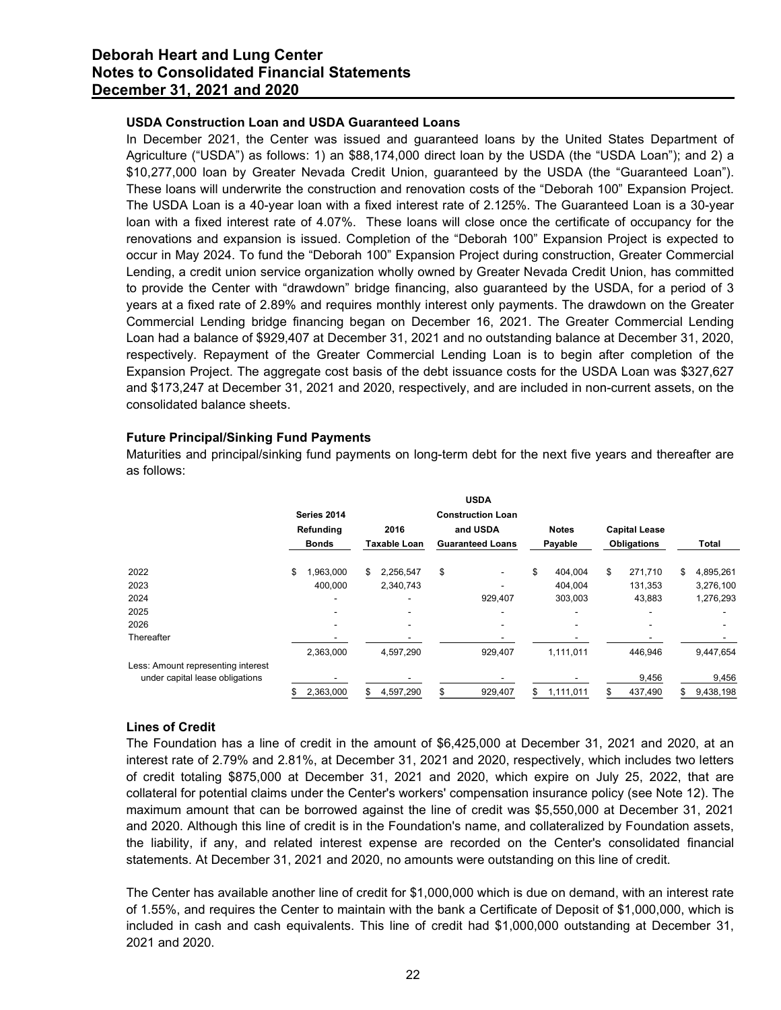# USDA Construction Loan and USDA Guaranteed Loans

In December 2021, the Center was issued and guaranteed loans by the United States Department of Agriculture ("USDA") as follows: 1) an \$88,174,000 direct loan by the USDA (the "USDA Loan"); and 2) a \$10,277,000 loan by Greater Nevada Credit Union, guaranteed by the USDA (the "Guaranteed Loan"). These loans will underwrite the construction and renovation costs of the "Deborah 100" Expansion Project. The USDA Loan is a 40-year loan with a fixed interest rate of 2.125%. The Guaranteed Loan is a 30-year loan with a fixed interest rate of 4.07%. These loans will close once the certificate of occupancy for the renovations and expansion is issued. Completion of the "Deborah 100" Expansion Project is expected to occur in May 2024. To fund the "Deborah 100" Expansion Project during construction, Greater Commercial Lending, a credit union service organization wholly owned by Greater Nevada Credit Union, has committed to provide the Center with "drawdown" bridge financing, also guaranteed by the USDA, for a period of 3 years at a fixed rate of 2.89% and requires monthly interest only payments. The drawdown on the Greater Commercial Lending bridge financing began on December 16, 2021. The Greater Commercial Lending Loan had a balance of \$929,407 at December 31, 2021 and no outstanding balance at December 31, 2020, respectively. Repayment of the Greater Commercial Lending Loan is to begin after completion of the Expansion Project. The aggregate cost basis of the debt issuance costs for the USDA Loan was \$327,627 and \$173,247 at December 31, 2021 and 2020, respectively, and are included in non-current assets, on the consolidated balance sheets. enowatoms and expansion is issued. Completion of the Ueborah Unit spansion Project during construction, Greater Commercial<br>cocur in May 2024. To fund the "Deborah 100" Expansion Project during construction, Greater Commerc

# Future Principal/Sinking Fund Payments

| Expansion Project. The aggregate cost basis of the debt issuance costs for the USDA Loan was \$327,627<br>and \$173,247 at December 31, 2021 and 2020, respectively, and are included in non-current assets, on the<br>consolidated balance sheets. |                      |                              | respectively. Repayment of the Greater Commercial Lending Loan is to begin after completion of the |                               |                                    |                                     |
|-----------------------------------------------------------------------------------------------------------------------------------------------------------------------------------------------------------------------------------------------------|----------------------|------------------------------|----------------------------------------------------------------------------------------------------|-------------------------------|------------------------------------|-------------------------------------|
| <b>Future Principal/Sinking Fund Payments</b><br>Maturities and principal/sinking fund payments on long-term debt for the next five years and thereafter are<br>as follows:                                                                         | Series 2014          |                              | <b>USDA</b><br><b>Construction Loan</b>                                                            |                               |                                    |                                     |
|                                                                                                                                                                                                                                                     | Refunding            | 2016                         | and USDA                                                                                           | <b>Notes</b>                  | <b>Capital Lease</b>               |                                     |
|                                                                                                                                                                                                                                                     | Bonds                | <b>Taxable Loan</b>          | <b>Guaranteed Loans</b>                                                                            | Payable                       | <b>Obligations</b>                 | Total                               |
| 2022<br>2023<br>2024<br>2025<br>2026<br>Thereafter                                                                                                                                                                                                  | 1,963,000<br>400,000 | \$<br>2,256,547<br>2,340,743 | \$<br>929,407                                                                                      | 404,004<br>404,004<br>303,003 | 271,710<br>\$<br>131,353<br>43,883 | 4,895,261<br>3,276,100<br>1,276,293 |
| Less: Amount representing interest<br>under capital lease obligations                                                                                                                                                                               | 2,363,000            | 4,597,290                    | 929,407                                                                                            | 1,111,011                     | 446,946<br>9,456                   | 9,447,654<br>9,456                  |

# Lines of Credit

The Foundation has a line of credit in the amount of \$6,425,000 at December 31, 2021 and 2020, at an interest rate of 2.79% and 2.81%, at December 31, 2021 and 2020, respectively, which includes two letters of credit totaling \$875,000 at December 31, 2021 and 2020, which expire on July 25, 2022, that are collateral for potential claims under the Center's workers' compensation insurance policy (see Note 12). The maximum amount that can be borrowed against the line of credit was \$5,550,000 at December 31, 2021 and 2020. Although this line of credit is in the Foundation's name, and collateralized by Foundation assets, the liability, if any, and related interest expense are recorded on the Center's consolidated financial statements. At December 31, 2021 and 2020, no amounts were outstanding on this line of credit.

The Center has available another line of credit for \$1,000,000 which is due on demand, with an interest rate of 1.55%, and requires the Center to maintain with the bank a Certificate of Deposit of \$1,000,000, which is included in cash and cash equivalents. This line of credit had \$1,000,000 outstanding at December 31, 2021 and 2020.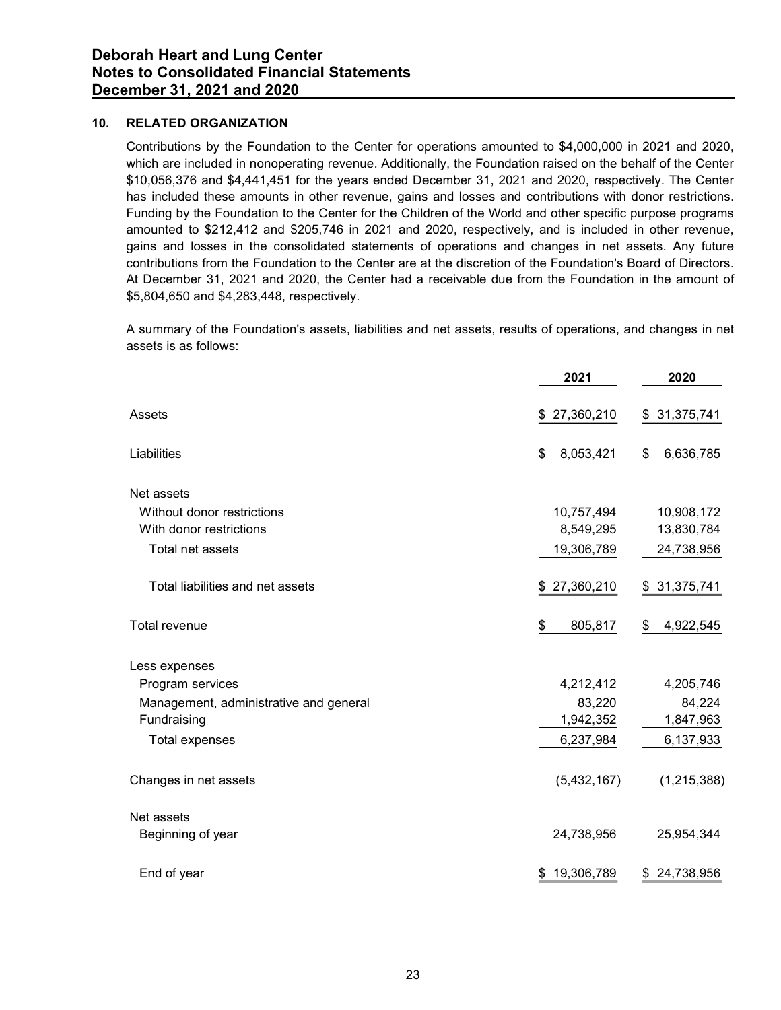# 10. RELATED ORGANIZATION

Contributions by the Foundation to the Center for operations amounted to \$4,000,000 in 2021 and 2020, which are included in nonoperating revenue. Additionally, the Foundation raised on the behalf of the Center \$10,056,376 and \$4,441,451 for the years ended December 31, 2021 and 2020, respectively. The Center has included these amounts in other revenue, gains and losses and contributions with donor restrictions. Funding by the Foundation to the Center for the Children of the World and other specific purpose programs amounted to \$212,412 and \$205,746 in 2021 and 2020, respectively, and is included in other revenue, gains and losses in the consolidated statements of operations and changes in net assets. Any future contributions from the Foundation to the Center are at the discretion of the Foundation's Board of Directors. At December 31, 2021 and 2020, the Center had a receivable due from the Foundation in the amount of \$5,804,650 and \$4,283,448, respectively.

| $\frac{1}{2}0.056, 376$ and $\frac{1}{4}441, 451$ for the years ended December 31, 2021 and 2020, respectively. The Center<br>nas included these amounts in other revenue, gains and losses and contributions with donor restrictions.<br>Funding by the Foundation to the Center for the Children of the World and other specific purpose programs<br>amounted to \$212,412 and \$205,746 in 2021 and 2020, respectively, and is included in other revenue,<br>gains and losses in the consolidated statements of operations and changes in net assets. Any future<br>contributions from the Foundation to the Center are at the discretion of the Foundation's Board of Directors.<br>At December 31, 2021 and 2020, the Center had a receivable due from the Foundation in the amount of<br>\$5,804,650 and \$4,283,448, respectively. |                 |                 |
|-------------------------------------------------------------------------------------------------------------------------------------------------------------------------------------------------------------------------------------------------------------------------------------------------------------------------------------------------------------------------------------------------------------------------------------------------------------------------------------------------------------------------------------------------------------------------------------------------------------------------------------------------------------------------------------------------------------------------------------------------------------------------------------------------------------------------------------------|-----------------|-----------------|
| A summary of the Foundation's assets, liabilities and net assets, results of operations, and changes in net<br>assets is as follows:                                                                                                                                                                                                                                                                                                                                                                                                                                                                                                                                                                                                                                                                                                      |                 |                 |
|                                                                                                                                                                                                                                                                                                                                                                                                                                                                                                                                                                                                                                                                                                                                                                                                                                           | 2021            | 2020            |
| Assets                                                                                                                                                                                                                                                                                                                                                                                                                                                                                                                                                                                                                                                                                                                                                                                                                                    | \$27,360,210    | \$31,375,741    |
| Liabilities                                                                                                                                                                                                                                                                                                                                                                                                                                                                                                                                                                                                                                                                                                                                                                                                                               | 8,053,421<br>\$ | 6,636,785<br>S. |
| Net assets                                                                                                                                                                                                                                                                                                                                                                                                                                                                                                                                                                                                                                                                                                                                                                                                                                |                 |                 |
| Without donor restrictions                                                                                                                                                                                                                                                                                                                                                                                                                                                                                                                                                                                                                                                                                                                                                                                                                | 10,757,494      | 10,908,172      |
| With donor restrictions                                                                                                                                                                                                                                                                                                                                                                                                                                                                                                                                                                                                                                                                                                                                                                                                                   | 8,549,295       | 13,830,784      |
| Total net assets                                                                                                                                                                                                                                                                                                                                                                                                                                                                                                                                                                                                                                                                                                                                                                                                                          | 19,306,789      | 24,738,956      |
| Total liabilities and net assets                                                                                                                                                                                                                                                                                                                                                                                                                                                                                                                                                                                                                                                                                                                                                                                                          | \$27,360,210    | \$ 31,375,741   |
| Total revenue                                                                                                                                                                                                                                                                                                                                                                                                                                                                                                                                                                                                                                                                                                                                                                                                                             | 805,817<br>\$   | 4,922,545<br>\$ |
| Less expenses                                                                                                                                                                                                                                                                                                                                                                                                                                                                                                                                                                                                                                                                                                                                                                                                                             |                 |                 |
| Program services                                                                                                                                                                                                                                                                                                                                                                                                                                                                                                                                                                                                                                                                                                                                                                                                                          | 4,212,412       | 4,205,746       |
| Management, administrative and general                                                                                                                                                                                                                                                                                                                                                                                                                                                                                                                                                                                                                                                                                                                                                                                                    | 83,220          | 84,224          |
| Fundraising                                                                                                                                                                                                                                                                                                                                                                                                                                                                                                                                                                                                                                                                                                                                                                                                                               | 1,942,352       | 1,847,963       |
| Total expenses                                                                                                                                                                                                                                                                                                                                                                                                                                                                                                                                                                                                                                                                                                                                                                                                                            | 6,237,984       | 6,137,933       |
| Changes in net assets                                                                                                                                                                                                                                                                                                                                                                                                                                                                                                                                                                                                                                                                                                                                                                                                                     | (5,432,167)     | (1, 215, 388)   |
| Net assets                                                                                                                                                                                                                                                                                                                                                                                                                                                                                                                                                                                                                                                                                                                                                                                                                                |                 |                 |
| Beginning of year                                                                                                                                                                                                                                                                                                                                                                                                                                                                                                                                                                                                                                                                                                                                                                                                                         | 24,738,956      | 25,954,344      |
| End of year                                                                                                                                                                                                                                                                                                                                                                                                                                                                                                                                                                                                                                                                                                                                                                                                                               | \$19,306,789    | \$24,738,956    |
|                                                                                                                                                                                                                                                                                                                                                                                                                                                                                                                                                                                                                                                                                                                                                                                                                                           |                 |                 |
|                                                                                                                                                                                                                                                                                                                                                                                                                                                                                                                                                                                                                                                                                                                                                                                                                                           |                 |                 |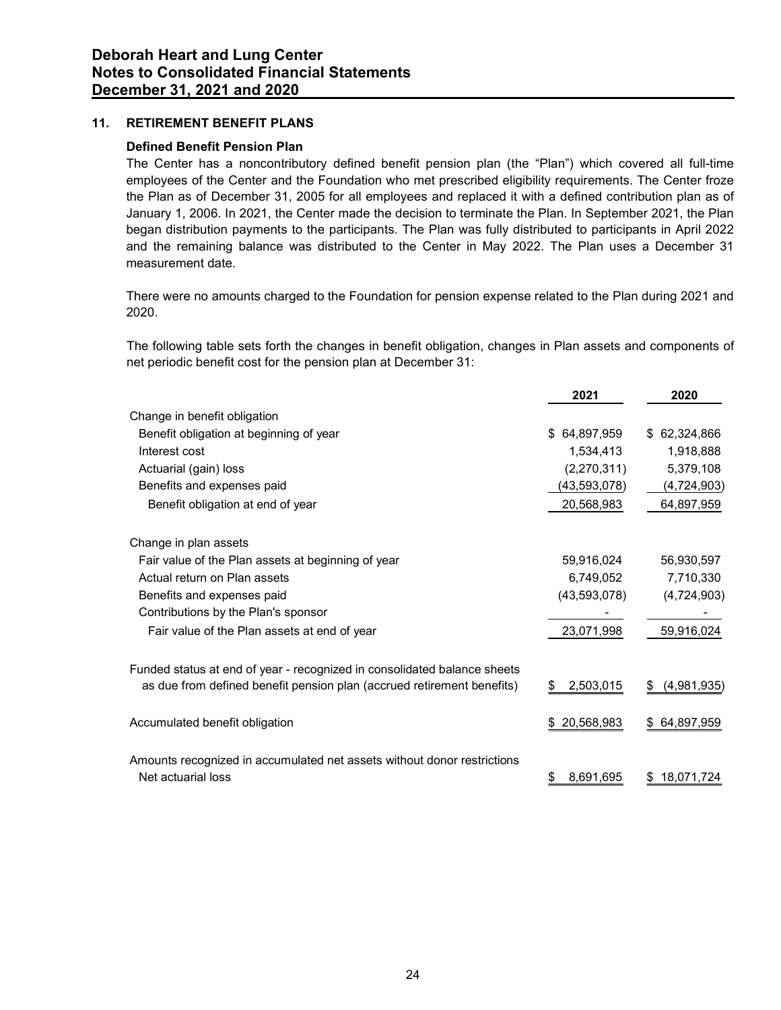# 11. RETIREMENT BENEFIT PLANS

## Defined Benefit Pension Plan

| <b>RETIREMENT BENEFIT PLANS</b>                                                                                                                                                                                                                                                                                                                                                                                                                                                                                                                                                                                                                                                                                               |                 |                |
|-------------------------------------------------------------------------------------------------------------------------------------------------------------------------------------------------------------------------------------------------------------------------------------------------------------------------------------------------------------------------------------------------------------------------------------------------------------------------------------------------------------------------------------------------------------------------------------------------------------------------------------------------------------------------------------------------------------------------------|-----------------|----------------|
| <b>Defined Benefit Pension Plan</b><br>The Center has a noncontributory defined benefit pension plan (the "Plan") which covered all full-time<br>employees of the Center and the Foundation who met prescribed eligibility requirements. The Center froze<br>the Plan as of December 31, 2005 for all employees and replaced it with a defined contribution plan as of<br>January 1, 2006. In 2021, the Center made the decision to terminate the Plan. In September 2021, the Plan<br>began distribution payments to the participants. The Plan was fully distributed to participants in April 2022<br>and the remaining balance was distributed to the Center in May 2022. The Plan uses a December 31<br>measurement date. |                 |                |
| There were no amounts charged to the Foundation for pension expense related to the Plan during 2021 and<br>2020.                                                                                                                                                                                                                                                                                                                                                                                                                                                                                                                                                                                                              |                 |                |
| The following table sets forth the changes in benefit obligation, changes in Plan assets and components of<br>net periodic benefit cost for the pension plan at December 31:                                                                                                                                                                                                                                                                                                                                                                                                                                                                                                                                                  |                 |                |
|                                                                                                                                                                                                                                                                                                                                                                                                                                                                                                                                                                                                                                                                                                                               | 2021            | 2020           |
| Change in benefit obligation                                                                                                                                                                                                                                                                                                                                                                                                                                                                                                                                                                                                                                                                                                  |                 |                |
| Benefit obligation at beginning of year                                                                                                                                                                                                                                                                                                                                                                                                                                                                                                                                                                                                                                                                                       | \$64,897,959    | \$ 62,324,866  |
| Interest cost                                                                                                                                                                                                                                                                                                                                                                                                                                                                                                                                                                                                                                                                                                                 | 1,534,413       | 1,918,888      |
| Actuarial (gain) loss                                                                                                                                                                                                                                                                                                                                                                                                                                                                                                                                                                                                                                                                                                         | (2,270,311)     | 5,379,108      |
| Benefits and expenses paid                                                                                                                                                                                                                                                                                                                                                                                                                                                                                                                                                                                                                                                                                                    | (43,593,078)    | (4, 724, 903)  |
| Benefit obligation at end of year                                                                                                                                                                                                                                                                                                                                                                                                                                                                                                                                                                                                                                                                                             | 20,568,983      | 64,897,959     |
| Change in plan assets                                                                                                                                                                                                                                                                                                                                                                                                                                                                                                                                                                                                                                                                                                         |                 |                |
| Fair value of the Plan assets at beginning of year                                                                                                                                                                                                                                                                                                                                                                                                                                                                                                                                                                                                                                                                            | 59,916,024      | 56,930,597     |
| Actual return on Plan assets                                                                                                                                                                                                                                                                                                                                                                                                                                                                                                                                                                                                                                                                                                  | 6,749,052       | 7,710,330      |
| Benefits and expenses paid                                                                                                                                                                                                                                                                                                                                                                                                                                                                                                                                                                                                                                                                                                    | (43,593,078)    | (4,724,903)    |
| Contributions by the Plan's sponsor                                                                                                                                                                                                                                                                                                                                                                                                                                                                                                                                                                                                                                                                                           |                 |                |
| Fair value of the Plan assets at end of year                                                                                                                                                                                                                                                                                                                                                                                                                                                                                                                                                                                                                                                                                  | 23,071,998      | 59,916,024     |
| Funded status at end of year - recognized in consolidated balance sheets                                                                                                                                                                                                                                                                                                                                                                                                                                                                                                                                                                                                                                                      |                 |                |
| as due from defined benefit pension plan (accrued retirement benefits)                                                                                                                                                                                                                                                                                                                                                                                                                                                                                                                                                                                                                                                        | 2,503,015<br>\$ | \$ (4,981,935) |
| Accumulated benefit obligation                                                                                                                                                                                                                                                                                                                                                                                                                                                                                                                                                                                                                                                                                                | \$20,568,983    | \$64,897,959   |
| Amounts recognized in accumulated net assets without donor restrictions<br>Net actuarial loss                                                                                                                                                                                                                                                                                                                                                                                                                                                                                                                                                                                                                                 | 8,691,695<br>\$ | \$18,071,724   |
|                                                                                                                                                                                                                                                                                                                                                                                                                                                                                                                                                                                                                                                                                                                               |                 |                |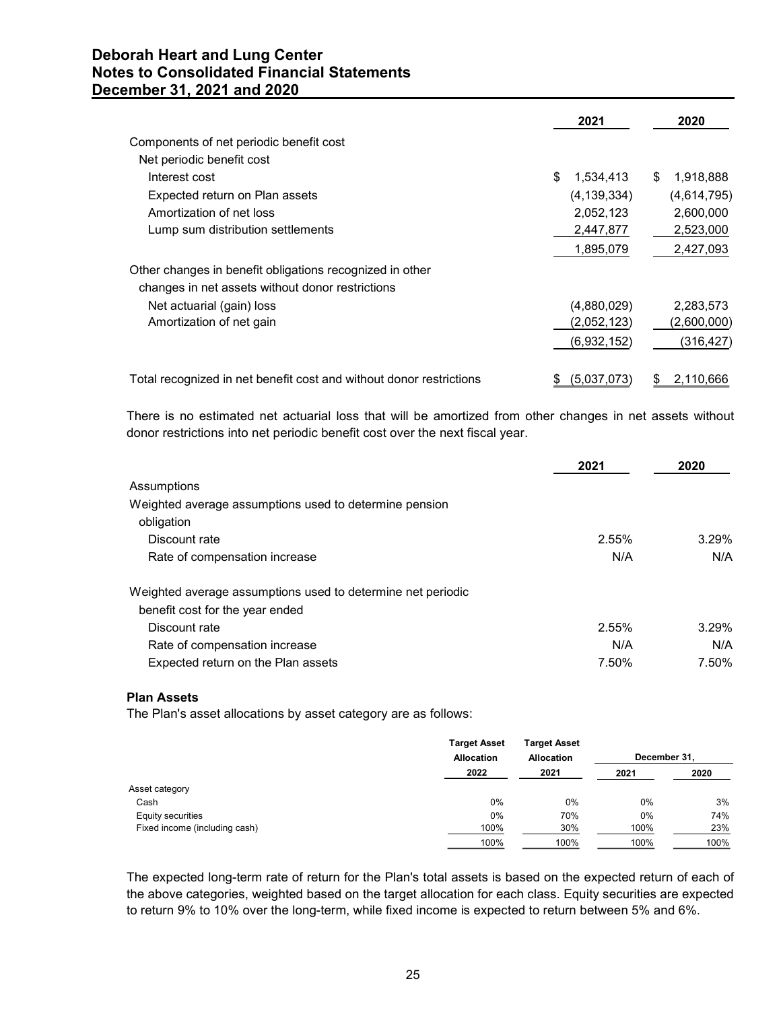| orah Heart and Lung Center                                                                                                                                                               |                 |             |
|------------------------------------------------------------------------------------------------------------------------------------------------------------------------------------------|-----------------|-------------|
| <b>is to Consolidated Financial Statements</b>                                                                                                                                           |                 |             |
| ember 31, 2021 and 2020                                                                                                                                                                  |                 |             |
|                                                                                                                                                                                          |                 |             |
|                                                                                                                                                                                          | 2021            | 2020        |
| Components of net periodic benefit cost                                                                                                                                                  |                 |             |
| Net periodic benefit cost                                                                                                                                                                |                 |             |
| Interest cost                                                                                                                                                                            | 1,534,413<br>\$ | \$1,918,888 |
| Expected return on Plan assets                                                                                                                                                           | (4, 139, 334)   | (4,614,795) |
| Amortization of net loss                                                                                                                                                                 | 2,052,123       | 2,600,000   |
| Lump sum distribution settlements                                                                                                                                                        | 2,447,877       | 2,523,000   |
|                                                                                                                                                                                          | 1,895,079       | 2,427,093   |
| Other changes in benefit obligations recognized in other                                                                                                                                 |                 |             |
| changes in net assets without donor restrictions                                                                                                                                         |                 |             |
| Net actuarial (gain) loss                                                                                                                                                                | (4,880,029)     | 2,283,573   |
| Amortization of net gain                                                                                                                                                                 | (2,052,123)     | (2,600,000) |
|                                                                                                                                                                                          | (6,932,152)     | (316, 427)  |
| Total recognized in net benefit cost and without donor restrictions                                                                                                                      | \$ (5,037,073)  | \$2,110,666 |
|                                                                                                                                                                                          |                 |             |
| There is no estimated net actuarial loss that will be amortized from other changes in net assets without<br>donor restrictions into net periodic benefit cost over the next fiscal year. |                 |             |
|                                                                                                                                                                                          |                 |             |
|                                                                                                                                                                                          | 2021            | 2020        |
| Assumptions                                                                                                                                                                              |                 |             |
| Weighted average assumptions used to determine pension                                                                                                                                   |                 |             |
| obligation                                                                                                                                                                               |                 |             |
| Discount rate                                                                                                                                                                            | 2.55%           | 3.29%       |
| Rate of compensation increase                                                                                                                                                            | N/A             | N/A         |
|                                                                                                                                                                                          |                 |             |
| Weighted average assumptions used to determine net periodic                                                                                                                              |                 |             |
| benefit cost for the year ended                                                                                                                                                          |                 |             |

| Lump sum distribution settlements                                                                        |                                          |                                          | 2,447,877      | 2,523,000                |
|----------------------------------------------------------------------------------------------------------|------------------------------------------|------------------------------------------|----------------|--------------------------|
|                                                                                                          |                                          |                                          | 1,895,079      | 2,427,093                |
| Other changes in benefit obligations recognized in other                                                 |                                          |                                          |                |                          |
| changes in net assets without donor restrictions                                                         |                                          |                                          |                |                          |
| Net actuarial (gain) loss                                                                                |                                          |                                          | (4,880,029)    | 2,283,573                |
| Amortization of net gain                                                                                 |                                          |                                          | (2,052,123)    | (2,600,000)              |
|                                                                                                          |                                          |                                          | (6,932,152)    | (316, 427)               |
| Total recognized in net benefit cost and without donor restrictions                                      |                                          |                                          | \$ (5,037,073) | \$2,110,666              |
| There is no estimated net actuarial loss that will be amortized from other changes in net assets without |                                          |                                          |                |                          |
| donor restrictions into net periodic benefit cost over the next fiscal year.                             |                                          |                                          |                |                          |
|                                                                                                          |                                          |                                          |                |                          |
|                                                                                                          |                                          |                                          | 2021           | 2020                     |
| Assumptions                                                                                              |                                          |                                          |                |                          |
| Weighted average assumptions used to determine pension                                                   |                                          |                                          |                |                          |
| obligation                                                                                               |                                          |                                          |                |                          |
| Discount rate                                                                                            |                                          |                                          | 2.55%          | 3.29%                    |
| Rate of compensation increase                                                                            |                                          |                                          | N/A            | N/A                      |
| Weighted average assumptions used to determine net periodic                                              |                                          |                                          |                |                          |
| benefit cost for the year ended                                                                          |                                          |                                          |                |                          |
| Discount rate                                                                                            |                                          |                                          | 2.55%          | 3.29%                    |
| Rate of compensation increase                                                                            |                                          |                                          | N/A            | N/A                      |
| Expected return on the Plan assets                                                                       |                                          |                                          | 7.50%          | 7.50%                    |
|                                                                                                          |                                          |                                          |                |                          |
| <b>Plan Assets</b><br>The Plan's asset allocations by asset category are as follows:                     |                                          |                                          |                |                          |
|                                                                                                          |                                          |                                          |                |                          |
|                                                                                                          | <b>Target Asset</b><br><b>Allocation</b> | <b>Target Asset</b><br><b>Allocation</b> |                | December 31,             |
|                                                                                                          | 2022                                     | 2021                                     | 2021           | 2020                     |
| Asset category                                                                                           |                                          |                                          |                |                          |
| Cash                                                                                                     | 0%                                       | 0%                                       |                | 0%<br>3%                 |
| Equity securities<br>Fixed income (including cash)                                                       | 0%                                       | 70%<br>30%                               |                | 0%<br>74%<br>100%<br>23% |
|                                                                                                          | 100%                                     | 100%                                     |                | 100%<br>100%             |
|                                                                                                          | 100%                                     |                                          |                |                          |

## Plan Assets

|                               | <b>Target Asset</b> | <b>Target Asset</b> |              |      |
|-------------------------------|---------------------|---------------------|--------------|------|
|                               | <b>Allocation</b>   | Allocation          | December 31, |      |
|                               | 2022                | 2021                | 2021         | 2020 |
| Asset category                |                     |                     |              |      |
| Cash                          | 0%                  | 0%                  | 0%           | 3%   |
| <b>Equity securities</b>      | 0%                  | 70%                 | 0%           | 74%  |
| Fixed income (including cash) | 100%                | 30%                 | 100%         | 23%  |
|                               | 100%                | 100%                | 100%         | 100% |

The expected long-term rate of return for the Plan's total assets is based on the expected return of each of the above categories, weighted based on the target allocation for each class. Equity securities are expected to return 9% to 10% over the long-term, while fixed income is expected to return between 5% and 6%.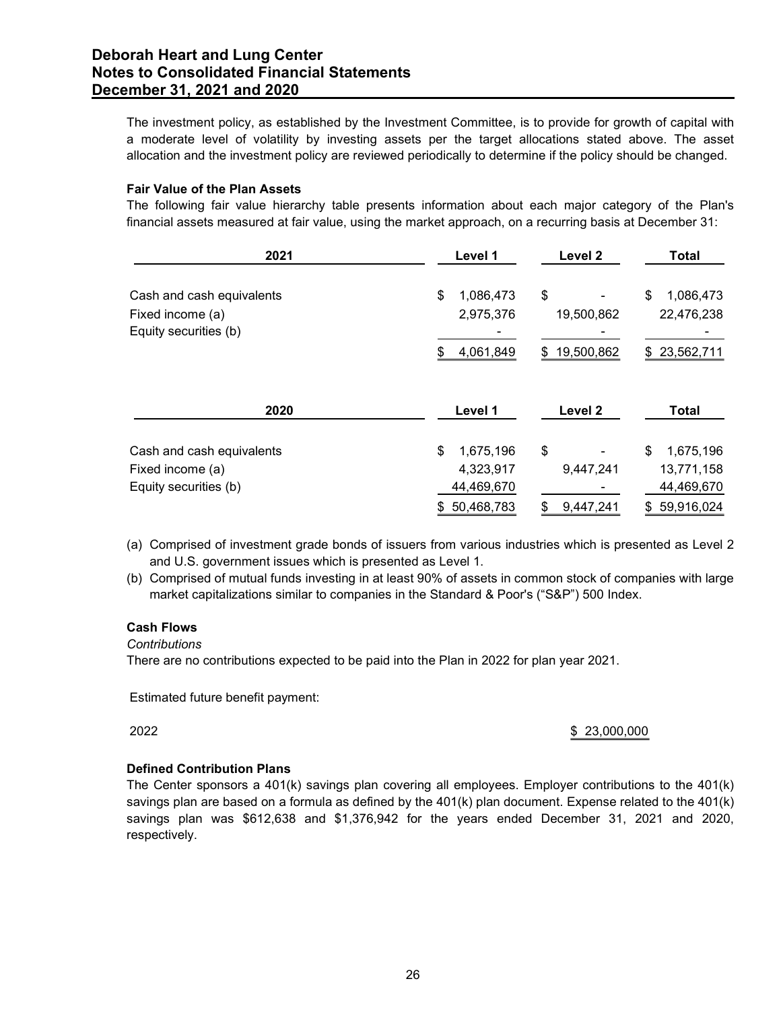## Fair Value of the Plan Assets

| mber 31, 2021 and 2020                                                                                                                                                                                                |                        |              |                         |
|-----------------------------------------------------------------------------------------------------------------------------------------------------------------------------------------------------------------------|------------------------|--------------|-------------------------|
| The investment policy, as established by the Investment Committee, is to provide for growth of capital with                                                                                                           |                        |              |                         |
| a moderate level of volatility by investing assets per the target allocations stated above. The asset<br>allocation and the investment policy are reviewed periodically to determine if the policy should be changed. |                        |              |                         |
|                                                                                                                                                                                                                       |                        |              |                         |
| <b>Fair Value of the Plan Assets</b><br>The following fair value hierarchy table presents information about each major category of the Plan's                                                                         |                        |              |                         |
| financial assets measured at fair value, using the market approach, on a recurring basis at December 31:                                                                                                              |                        |              |                         |
|                                                                                                                                                                                                                       |                        |              |                         |
| 2021                                                                                                                                                                                                                  | Level 1                | Level 2      | <b>Total</b>            |
| Cash and cash equivalents                                                                                                                                                                                             | 1,086,473<br>\$        | \$           | 1,086,473               |
|                                                                                                                                                                                                                       |                        |              |                         |
| Fixed income (a)                                                                                                                                                                                                      | 2,975,376              | 19,500,862   | 22,476,238              |
| Equity securities (b)                                                                                                                                                                                                 |                        |              |                         |
|                                                                                                                                                                                                                       | 4,061,849<br>S         | \$19,500,862 | \$23,562,711            |
|                                                                                                                                                                                                                       |                        |              |                         |
| 2020                                                                                                                                                                                                                  | Level 1                | Level 2      | <b>Total</b>            |
|                                                                                                                                                                                                                       | \$                     | \$           |                         |
| Cash and cash equivalents<br>Fixed income (a)                                                                                                                                                                         | 1,675,196<br>4,323,917 | 9,447,241    | 1,675,196<br>13,771,158 |
| Equity securities (b)                                                                                                                                                                                                 | 44,469,670             |              | 44,469,670              |

- (a) Comprised of investment grade bonds of issuers from various industries which is presented as Level 2 and U.S. government issues which is presented as Level 1.
- (b) Comprised of mutual funds investing in at least 90% of assets in common stock of companies with large market capitalizations similar to companies in the Standard & Poor's ("S&P") 500 Index.

## Cash Flows

**Contributions** 

There are no contributions expected to be paid into the Plan in 2022 for plan year 2021.

Estimated future benefit payment:

2022 \$ 23,000,000

# Defined Contribution Plans

The Center sponsors a 401(k) savings plan covering all employees. Employer contributions to the 401(k) savings plan are based on a formula as defined by the 401(k) plan document. Expense related to the 401(k) savings plan was \$612,638 and \$1,376,942 for the years ended December 31, 2021 and 2020, respectively.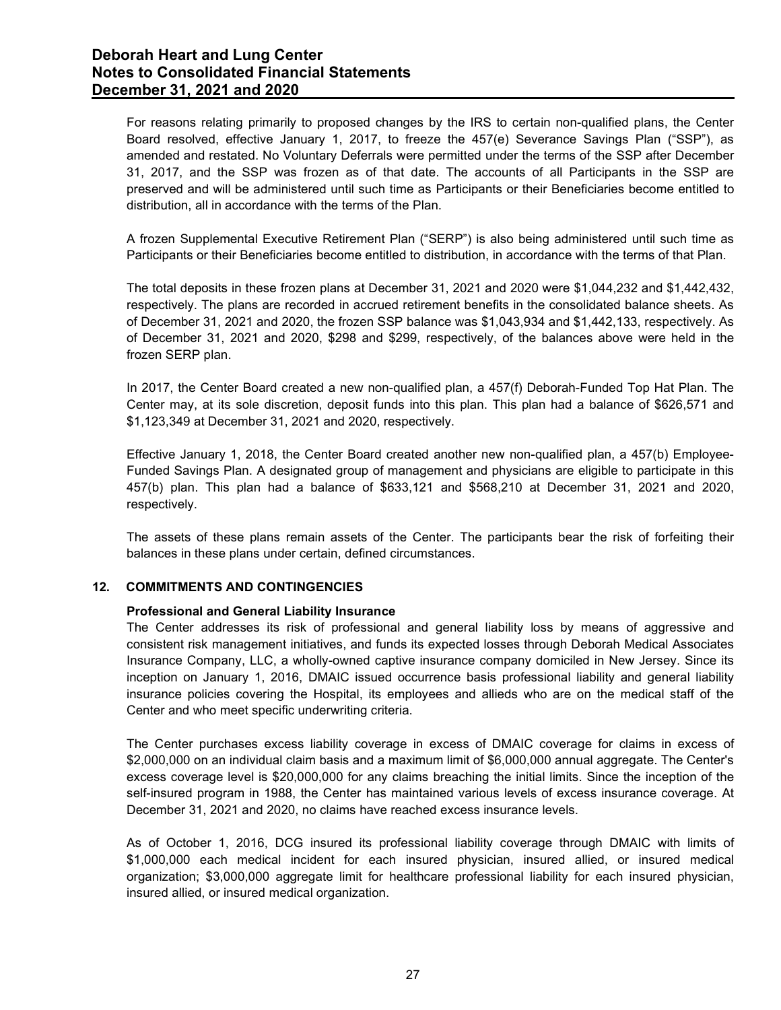For reasons relating primarily to proposed changes by the IRS to certain non-qualified plans, the Center Board resolved, effective January 1, 2017, to freeze the 457(e) Severance Savings Plan ("SSP"), as amended and restated. No Voluntary Deferrals were permitted under the terms of the SSP after December 31, 2017, and the SSP was frozen as of that date. The accounts of all Participants in the SSP are preserved and will be administered until such time as Participants or their Beneficiaries become entitled to distribution, all in accordance with the terms of the Plan.

A frozen Supplemental Executive Retirement Plan ("SERP") is also being administered until such time as Participants or their Beneficiaries become entitled to distribution, in accordance with the terms of that Plan.

The total deposits in these frozen plans at December 31, 2021 and 2020 were \$1,044,232 and \$1,442,432, respectively. The plans are recorded in accrued retirement benefits in the consolidated balance sheets. As of December 31, 2021 and 2020, the frozen SSP balance was \$1,043,934 and \$1,442,133, respectively. As of December 31, 2021 and 2020, \$298 and \$299, respectively, of the balances above were held in the frozen SERP plan.

In 2017, the Center Board created a new non-qualified plan, a 457(f) Deborah-Funded Top Hat Plan. The Center may, at its sole discretion, deposit funds into this plan. This plan had a balance of \$626,571 and \$1,123,349 at December 31, 2021 and 2020, respectively.

Effective January 1, 2018, the Center Board created another new non-qualified plan, a 457(b) Employee-Funded Savings Plan. A designated group of management and physicians are eligible to participate in this 457(b) plan. This plan had a balance of \$633,121 and \$568,210 at December 31, 2021 and 2020, respectively.

The assets of these plans remain assets of the Center. The participants bear the risk of forfeiting their balances in these plans under certain, defined circumstances.

## 12. COMMITMENTS AND CONTINGENCIES

## Professional and General Liability Insurance

The Center addresses its risk of professional and general liability loss by means of aggressive and consistent risk management initiatives, and funds its expected losses through Deborah Medical Associates Insurance Company, LLC, a wholly-owned captive insurance company domiciled in New Jersey. Since its inception on January 1, 2016, DMAIC issued occurrence basis professional liability and general liability insurance policies covering the Hospital, its employees and allieds who are on the medical staff of the Center and who meet specific underwriting criteria.

The Center purchases excess liability coverage in excess of DMAIC coverage for claims in excess of \$2,000,000 on an individual claim basis and a maximum limit of \$6,000,000 annual aggregate. The Center's excess coverage level is \$20,000,000 for any claims breaching the initial limits. Since the inception of the self-insured program in 1988, the Center has maintained various levels of excess insurance coverage. At December 31, 2021 and 2020, no claims have reached excess insurance levels.

As of October 1, 2016, DCG insured its professional liability coverage through DMAIC with limits of \$1,000,000 each medical incident for each insured physician, insured allied, or insured medical organization; \$3,000,000 aggregate limit for healthcare professional liability for each insured physician, insured allied, or insured medical organization.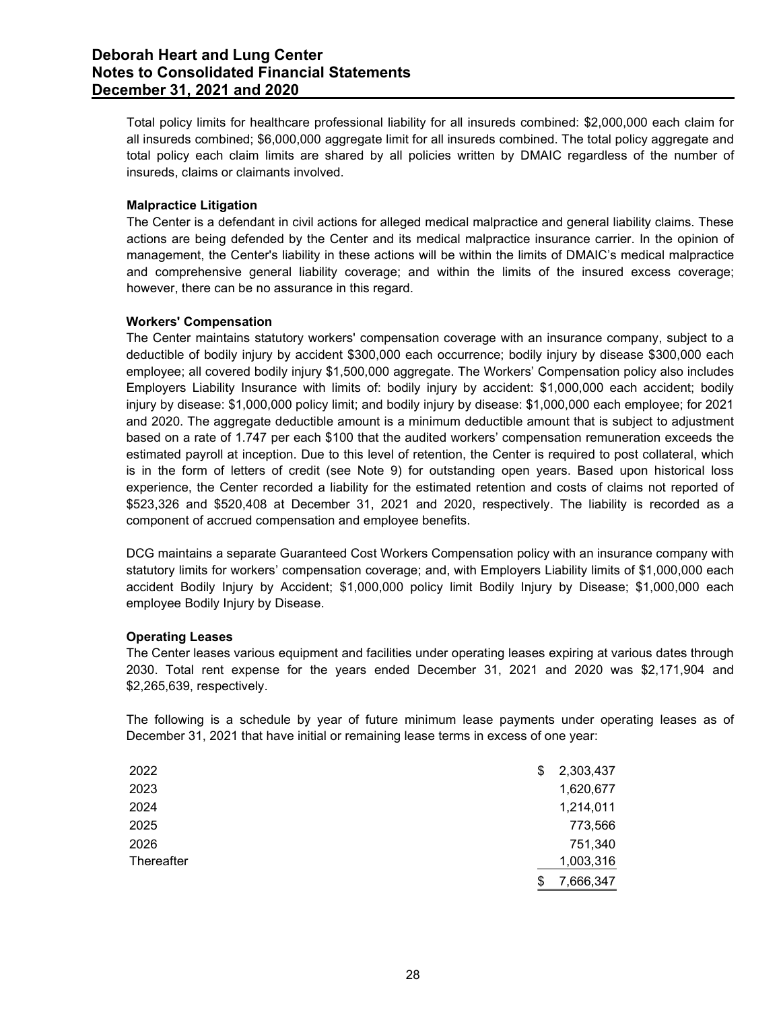Total policy limits for healthcare professional liability for all insureds combined: \$2,000,000 each claim for all insureds combined; \$6,000,000 aggregate limit for all insureds combined. The total policy aggregate and total policy each claim limits are shared by all policies written by DMAIC regardless of the number of insureds, claims or claimants involved.

## Malpractice Litigation

The Center is a defendant in civil actions for alleged medical malpractice and general liability claims. These actions are being defended by the Center and its medical malpractice insurance carrier. In the opinion of management, the Center's liability in these actions will be within the limits of DMAIC's medical malpractice and comprehensive general liability coverage; and within the limits of the insured excess coverage; however, there can be no assurance in this regard.

## Workers' Compensation

The Center maintains statutory workers' compensation coverage with an insurance company, subject to a deductible of bodily injury by accident \$300,000 each occurrence; bodily injury by disease \$300,000 each employee; all covered bodily injury \$1,500,000 aggregate. The Workers' Compensation policy also includes Employers Liability Insurance with limits of: bodily injury by accident: \$1,000,000 each accident; bodily injury by disease: \$1,000,000 policy limit; and bodily injury by disease: \$1,000,000 each employee; for 2021 and 2020. The aggregate deductible amount is a minimum deductible amount that is subject to adjustment based on a rate of 1.747 per each \$100 that the audited workers' compensation remuneration exceeds the estimated payroll at inception. Due to this level of retention, the Center is required to post collateral, which is in the form of letters of credit (see Note 9) for outstanding open years. Based upon historical loss experience, the Center recorded a liability for the estimated retention and costs of claims not reported of \$523,326 and \$520,408 at December 31, 2021 and 2020, respectively. The liability is recorded as a component of accrued compensation and employee benefits. bested or at late or 1.747 per each solution. Due the addiced workers compensation remuneration excess the signification is in the form of letters of redicted payold at inception. Due to this level of retention, the Center

# Operating Leases

| \$523,326 and \$520,408 at December 31, 2021 and 2020, respectively. The liability is recorded as a<br>component of accrued compensation and employee benefits.                                                                                                                                                                                                                                                                                                 | is in the form of letters of credit (see Note 9) for outstanding open years. Based upon historical loss<br>experience, the Center recorded a liability for the estimated retention and costs of claims not reported of |  |
|-----------------------------------------------------------------------------------------------------------------------------------------------------------------------------------------------------------------------------------------------------------------------------------------------------------------------------------------------------------------------------------------------------------------------------------------------------------------|------------------------------------------------------------------------------------------------------------------------------------------------------------------------------------------------------------------------|--|
| DCG maintains a separate Guaranteed Cost Workers Compensation policy with an insurance company with<br>statutory limits for workers' compensation coverage; and, with Employers Liability limits of \$1,000,000 each<br>accident Bodily Injury by Accident; \$1,000,000 policy limit Bodily Injury by Disease; \$1,000,000 each<br>employee Bodily Injury by Disease.                                                                                           |                                                                                                                                                                                                                        |  |
| <b>Operating Leases</b><br>The Center leases various equipment and facilities under operating leases expiring at various dates through<br>2030. Total rent expense for the years ended December 31, 2021 and 2020 was \$2,171,904 and<br>\$2,265,639, respectively.<br>The following is a schedule by year of future minimum lease payments under operating leases as of<br>December 31, 2021 that have initial or remaining lease terms in excess of one year: |                                                                                                                                                                                                                        |  |
|                                                                                                                                                                                                                                                                                                                                                                                                                                                                 |                                                                                                                                                                                                                        |  |
|                                                                                                                                                                                                                                                                                                                                                                                                                                                                 |                                                                                                                                                                                                                        |  |
| 2022                                                                                                                                                                                                                                                                                                                                                                                                                                                            | \$<br>2,303,437                                                                                                                                                                                                        |  |
| 2023                                                                                                                                                                                                                                                                                                                                                                                                                                                            | 1,620,677                                                                                                                                                                                                              |  |
| 2024                                                                                                                                                                                                                                                                                                                                                                                                                                                            | 1,214,011                                                                                                                                                                                                              |  |
| 2025                                                                                                                                                                                                                                                                                                                                                                                                                                                            | 773,566                                                                                                                                                                                                                |  |
| 2026<br>Thereafter                                                                                                                                                                                                                                                                                                                                                                                                                                              | 751,340<br>1,003,316                                                                                                                                                                                                   |  |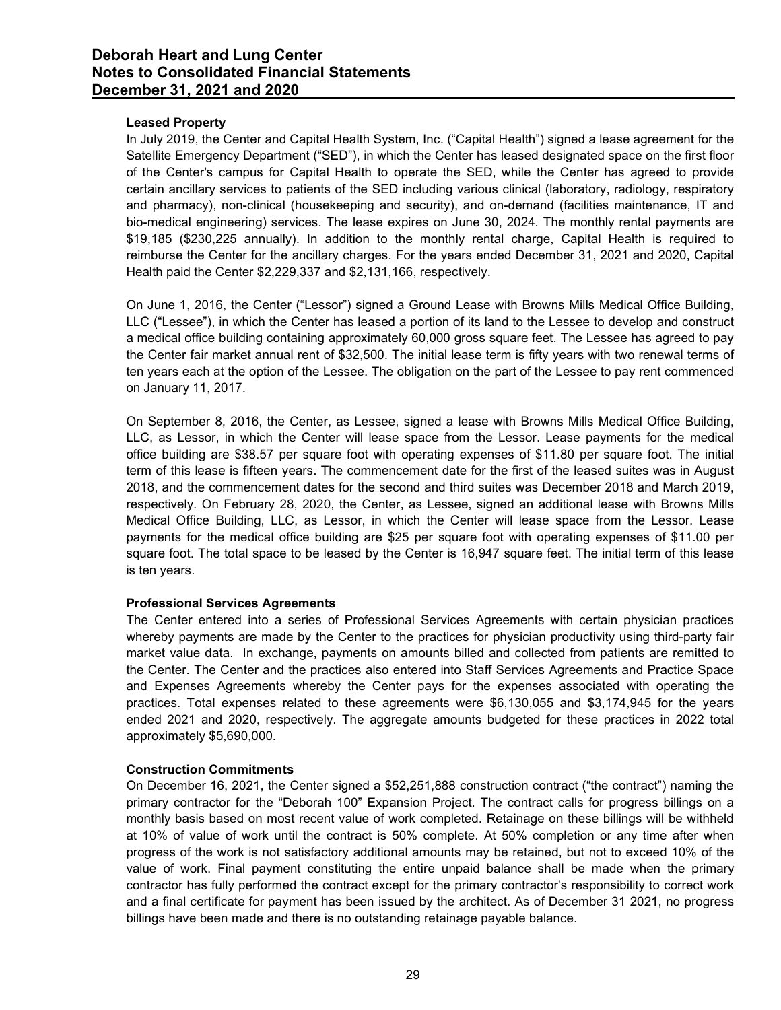## Leased Property

In July 2019, the Center and Capital Health System, Inc. ("Capital Health") signed a lease agreement for the Satellite Emergency Department ("SED"), in which the Center has leased designated space on the first floor of the Center's campus for Capital Health to operate the SED, while the Center has agreed to provide certain ancillary services to patients of the SED including various clinical (laboratory, radiology, respiratory and pharmacy), non-clinical (housekeeping and security), and on-demand (facilities maintenance, IT and bio-medical engineering) services. The lease expires on June 30, 2024. The monthly rental payments are \$19,185 (\$230,225 annually). In addition to the monthly rental charge, Capital Health is required to reimburse the Center for the ancillary charges. For the years ended December 31, 2021 and 2020, Capital Health paid the Center \$2,229,337 and \$2,131,166, respectively.

On June 1, 2016, the Center ("Lessor") signed a Ground Lease with Browns Mills Medical Office Building, LLC ("Lessee"), in which the Center has leased a portion of its land to the Lessee to develop and construct a medical office building containing approximately 60,000 gross square feet. The Lessee has agreed to pay the Center fair market annual rent of \$32,500. The initial lease term is fifty years with two renewal terms of ten years each at the option of the Lessee. The obligation on the part of the Lessee to pay rent commenced on January 11, 2017.

On September 8, 2016, the Center, as Lessee, signed a lease with Browns Mills Medical Office Building, LLC, as Lessor, in which the Center will lease space from the Lessor. Lease payments for the medical office building are \$38.57 per square foot with operating expenses of \$11.80 per square foot. The initial term of this lease is fifteen years. The commencement date for the first of the leased suites was in August 2018, and the commencement dates for the second and third suites was December 2018 and March 2019, respectively. On February 28, 2020, the Center, as Lessee, signed an additional lease with Browns Mills Medical Office Building, LLC, as Lessor, in which the Center will lease space from the Lessor. Lease payments for the medical office building are \$25 per square foot with operating expenses of \$11.00 per square foot. The total space to be leased by the Center is 16,947 square feet. The initial term of this lease is ten years.

# Professional Services Agreements

The Center entered into a series of Professional Services Agreements with certain physician practices whereby payments are made by the Center to the practices for physician productivity using third-party fair market value data. In exchange, payments on amounts billed and collected from patients are remitted to the Center. The Center and the practices also entered into Staff Services Agreements and Practice Space and Expenses Agreements whereby the Center pays for the expenses associated with operating the practices. Total expenses related to these agreements were \$6,130,055 and \$3,174,945 for the years ended 2021 and 2020, respectively. The aggregate amounts budgeted for these practices in 2022 total approximately \$5,690,000.

## Construction Commitments

On December 16, 2021, the Center signed a \$52,251,888 construction contract ("the contract") naming the primary contractor for the "Deborah 100" Expansion Project. The contract calls for progress billings on a monthly basis based on most recent value of work completed. Retainage on these billings will be withheld at 10% of value of work until the contract is 50% complete. At 50% completion or any time after when progress of the work is not satisfactory additional amounts may be retained, but not to exceed 10% of the value of work. Final payment constituting the entire unpaid balance shall be made when the primary contractor has fully performed the contract except for the primary contractor's responsibility to correct work and a final certificate for payment has been issued by the architect. As of December 31 2021, no progress billings have been made and there is no outstanding retainage payable balance.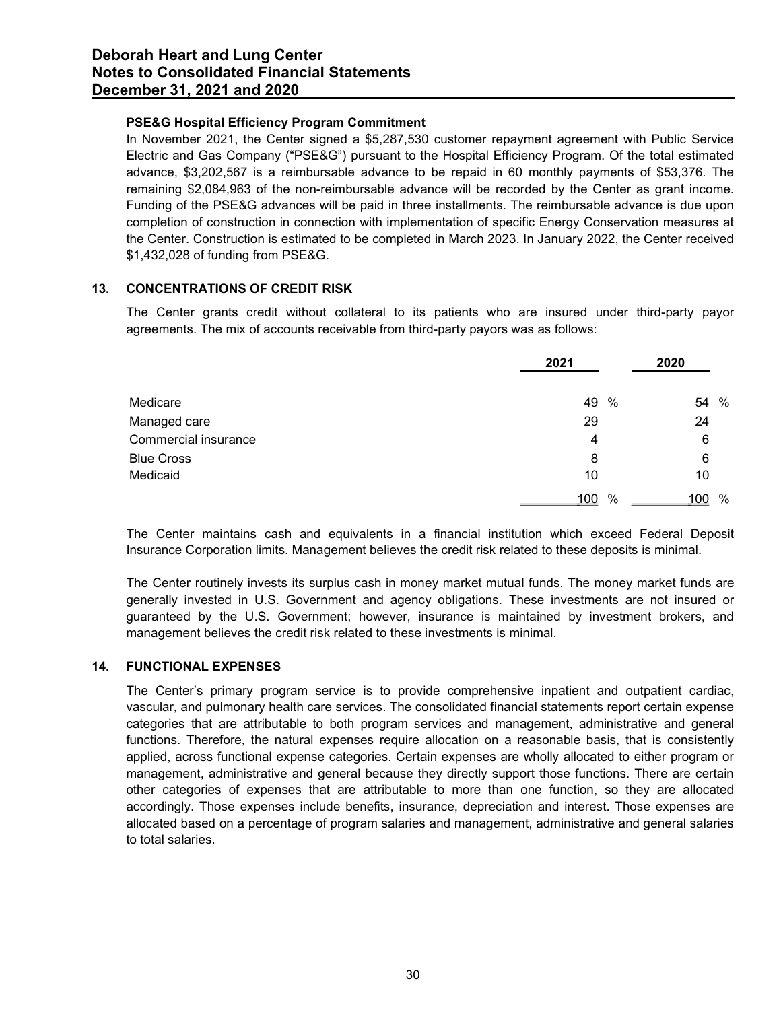# PSE&G Hospital Efficiency Program Commitment

In November 2021, the Center signed a \$5,287,530 customer repayment agreement with Public Service Electric and Gas Company ("PSE&G") pursuant to the Hospital Efficiency Program. Of the total estimated advance, \$3,202,567 is a reimbursable advance to be repaid in 60 monthly payments of \$53,376. The remaining \$2,084,963 of the non-reimbursable advance will be recorded by the Center as grant income. Funding of the PSE&G advances will be paid in three installments. The reimbursable advance is due upon completion of construction in connection with implementation of specific Energy Conservation measures at the Center. Construction is estimated to be completed in March 2023. In January 2022, the Center received \$1,432,028 of funding from PSE&G. **s to Consolidated Firancial Statements**<br> **The Consolidated Financial Statements**<br> **The SEG Hospital Efficiency Program Commitment**<br>
In November 2021, the Center signed a \$5,287,530 customer repayment agreement with Public

# 13. CONCENTRATIONS OF CREDIT RISK

| mber 31. 2021 and 2020                                                                                                                                                                                                                                                                                                                                                                                                                                                                                                                                                                                                                                                                                                                                                                                                                                |            |            |
|-------------------------------------------------------------------------------------------------------------------------------------------------------------------------------------------------------------------------------------------------------------------------------------------------------------------------------------------------------------------------------------------------------------------------------------------------------------------------------------------------------------------------------------------------------------------------------------------------------------------------------------------------------------------------------------------------------------------------------------------------------------------------------------------------------------------------------------------------------|------------|------------|
| PSE&G Hospital Efficiency Program Commitment<br>In November 2021, the Center signed a \$5,287,530 customer repayment agreement with Public Service<br>Electric and Gas Company ("PSE&G") pursuant to the Hospital Efficiency Program. Of the total estimated<br>advance, \$3,202,567 is a reimbursable advance to be repaid in 60 monthly payments of \$53,376. The<br>remaining \$2,084,963 of the non-reimbursable advance will be recorded by the Center as grant income.<br>Funding of the PSE&G advances will be paid in three installments. The reimbursable advance is due upon<br>completion of construction in connection with implementation of specific Energy Conservation measures at<br>the Center. Construction is estimated to be completed in March 2023. In January 2022, the Center received<br>\$1,432,028 of funding from PSE&G. |            |            |
|                                                                                                                                                                                                                                                                                                                                                                                                                                                                                                                                                                                                                                                                                                                                                                                                                                                       |            |            |
| <b>CONCENTRATIONS OF CREDIT RISK</b>                                                                                                                                                                                                                                                                                                                                                                                                                                                                                                                                                                                                                                                                                                                                                                                                                  |            |            |
| The Center grants credit without collateral to its patients who are insured under third-party payor<br>agreements. The mix of accounts receivable from third-party payors was as follows:                                                                                                                                                                                                                                                                                                                                                                                                                                                                                                                                                                                                                                                             | 2021       | 2020       |
|                                                                                                                                                                                                                                                                                                                                                                                                                                                                                                                                                                                                                                                                                                                                                                                                                                                       |            |            |
| Medicare                                                                                                                                                                                                                                                                                                                                                                                                                                                                                                                                                                                                                                                                                                                                                                                                                                              | 49 %<br>29 | 54 %<br>24 |
| Managed care<br>Commercial insurance                                                                                                                                                                                                                                                                                                                                                                                                                                                                                                                                                                                                                                                                                                                                                                                                                  |            | 6          |
| <b>Blue Cross</b>                                                                                                                                                                                                                                                                                                                                                                                                                                                                                                                                                                                                                                                                                                                                                                                                                                     | 8          | 6          |
| Medicaid                                                                                                                                                                                                                                                                                                                                                                                                                                                                                                                                                                                                                                                                                                                                                                                                                                              | 10         | 10         |

The Center routinely invests its surplus cash in money market mutual funds. The money market funds are generally invested in U.S. Government and agency obligations. These investments are not insured or guaranteed by the U.S. Government; however, insurance is maintained by investment brokers, and management believes the credit risk related to these investments is minimal.

# 14. FUNCTIONAL EXPENSES

The Center's primary program service is to provide comprehensive inpatient and outpatient cardiac, vascular, and pulmonary health care services. The consolidated financial statements report certain expense categories that are attributable to both program services and management, administrative and general functions. Therefore, the natural expenses require allocation on a reasonable basis, that is consistently applied, across functional expense categories. Certain expenses are wholly allocated to either program or management, administrative and general because they directly support those functions. There are certain other categories of expenses that are attributable to more than one function, so they are allocated accordingly. Those expenses include benefits, insurance, depreciation and interest. Those expenses are allocated based on a percentage of program salaries and management, administrative and general salaries to total salaries.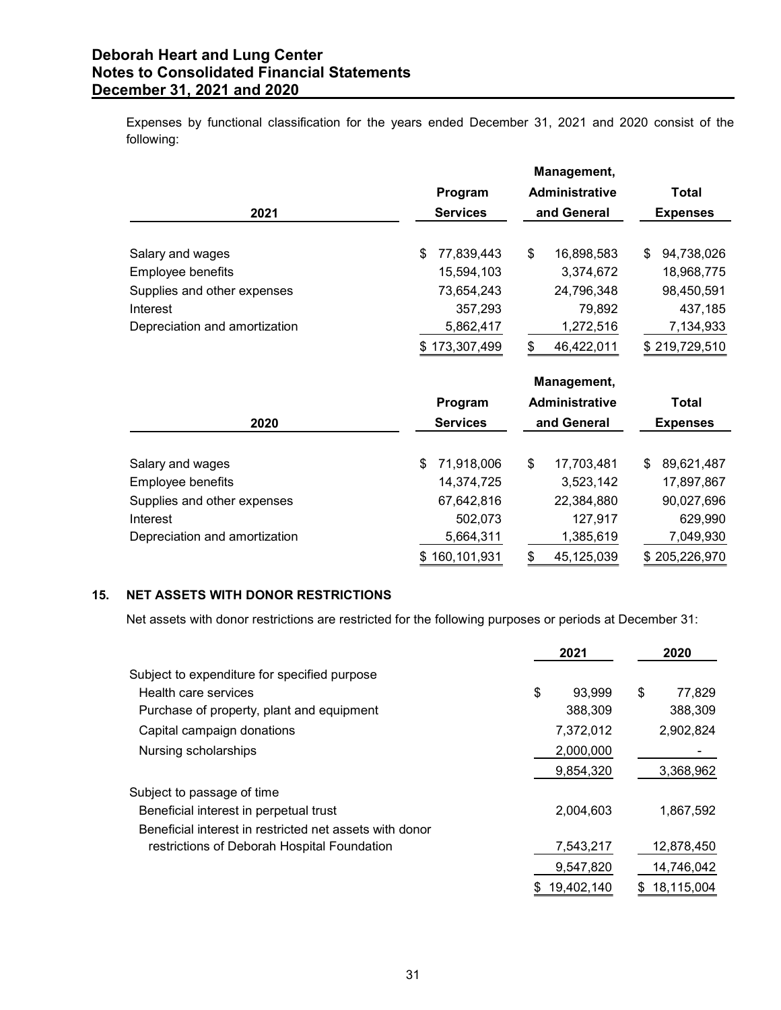| following:                                                                                              | Expenses by functional classification for the years ended December 31, 2021 and 2020 consist of the |    |                                              |                                 |
|---------------------------------------------------------------------------------------------------------|-----------------------------------------------------------------------------------------------------|----|----------------------------------------------|---------------------------------|
| 2021                                                                                                    | Program<br><b>Services</b>                                                                          |    | Management,<br>Administrative<br>and General | <b>Total</b><br><b>Expenses</b> |
|                                                                                                         |                                                                                                     |    |                                              |                                 |
| Salary and wages                                                                                        | 77,839,443<br>\$                                                                                    | S  | 16,898,583                                   | \$94,738,026                    |
| Employee benefits                                                                                       | 15,594,103                                                                                          |    | 3,374,672                                    | 18,968,775                      |
| Supplies and other expenses                                                                             | 73,654,243                                                                                          |    | 24,796,348                                   | 98,450,591                      |
| Interest                                                                                                | 357,293                                                                                             |    | 79,892                                       | 437,185                         |
| Depreciation and amortization                                                                           | 5,862,417                                                                                           |    | 1,272,516                                    | 7,134,933                       |
|                                                                                                         | \$173,307,499                                                                                       | \$ | 46,422,011                                   | \$219,729,510                   |
|                                                                                                         |                                                                                                     |    | Management,                                  |                                 |
|                                                                                                         | Program                                                                                             |    | Administrative                               | <b>Total</b>                    |
| 2020                                                                                                    | <b>Services</b>                                                                                     |    | and General                                  | <b>Expenses</b>                 |
| Salary and wages                                                                                        | 71,918,006<br>\$                                                                                    | S  | 17,703,481                                   | \$ 89,621,487                   |
| Employee benefits                                                                                       | 14,374,725                                                                                          |    | 3,523,142                                    | 17,897,867                      |
| Supplies and other expenses                                                                             | 67,642,816                                                                                          |    | 22,384,880                                   | 90,027,696                      |
| Interest                                                                                                | 502,073                                                                                             |    | 127,917                                      | 629,990                         |
| Depreciation and amortization                                                                           | 5,664,311                                                                                           |    | 1,385,619                                    | 7,049,930                       |
|                                                                                                         | \$160,101,931                                                                                       | \$ | 45,125,039                                   | \$205,226,970                   |
| NET ASSETS WITH DONOR RESTRICTIONS                                                                      |                                                                                                     |    |                                              |                                 |
| Net assets with donor restrictions are restricted for the following purposes or periods at December 31: |                                                                                                     |    |                                              |                                 |
|                                                                                                         |                                                                                                     |    | 2021                                         | 2020                            |
|                                                                                                         |                                                                                                     |    |                                              |                                 |
| Subject to expenditure for specified purpose<br>Health care services                                    |                                                                                                     |    | 93,999                                       | 77,829                          |
|                                                                                                         |                                                                                                     | \$ | 388,309                                      | \$<br>388,309                   |
| Purchase of property, plant and equipment                                                               |                                                                                                     |    |                                              |                                 |
| Capital campaign donations                                                                              |                                                                                                     |    | 7,372,012                                    | 2,902,824                       |
| Nursing scholarships                                                                                    |                                                                                                     |    | 2,000,000                                    |                                 |
|                                                                                                         |                                                                                                     |    | 9,854,320                                    | 3,368,962                       |
| Subject to passage of time                                                                              |                                                                                                     |    |                                              |                                 |
|                                                                                                         |                                                                                                     |    |                                              |                                 |
| Beneficial interest in perpetual trust                                                                  |                                                                                                     |    | 2,004,603                                    | 1,867,592                       |

# 15. NET ASSETS WITH DONOR RESTRICTIONS

| Employee benefits                                                                                       | 14,374,725    |     | 3,523,142  | 17,897,867    |
|---------------------------------------------------------------------------------------------------------|---------------|-----|------------|---------------|
| Supplies and other expenses                                                                             | 67,642,816    |     | 22,384,880 | 90,027,696    |
| Interest                                                                                                | 502,073       |     | 127,917    | 629,990       |
| Depreciation and amortization                                                                           | 5,664,311     |     | 1,385,619  | 7,049,930     |
|                                                                                                         | \$160,101,931 | \$. | 45,125,039 | \$205,226,970 |
| <b>NET ASSETS WITH DONOR RESTRICTIONS</b>                                                               |               |     |            |               |
| Net assets with donor restrictions are restricted for the following purposes or periods at December 31: |               |     |            |               |
|                                                                                                         |               |     | 2021       | 2020          |
| Subject to expenditure for specified purpose                                                            |               |     |            |               |
| Health care services                                                                                    |               | \$  | 93,999     | \$<br>77,829  |
| Purchase of property, plant and equipment                                                               |               |     | 388,309    | 388,309       |
| Capital campaign donations                                                                              |               |     | 7,372,012  | 2,902,824     |
| Nursing scholarships                                                                                    |               |     | 2,000,000  |               |
|                                                                                                         |               |     | 9,854,320  | 3,368,962     |
| Subject to passage of time                                                                              |               |     |            |               |
| Beneficial interest in perpetual trust                                                                  |               |     | 2,004,603  | 1,867,592     |
| Beneficial interest in restricted net assets with donor                                                 |               |     |            |               |
|                                                                                                         |               |     |            |               |
| restrictions of Deborah Hospital Foundation                                                             |               |     | 7,543,217  | 12,878,450    |
|                                                                                                         |               |     | 9,547,820  | 14,746,042    |